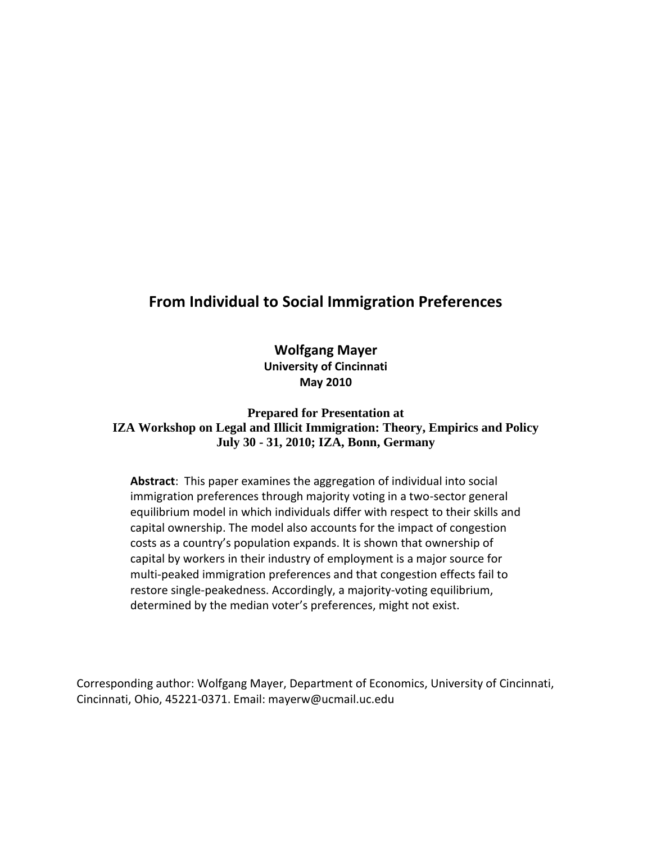# **From Individual to Social Immigration Preferences**

**Wolfgang Mayer University of Cincinnati May 2010**

**Prepared for Presentation at IZA Workshop on Legal and Illicit Immigration: Theory, Empirics and Policy July 30 - 31, 2010; IZA, Bonn, Germany**

**Abstract**: This paper examines the aggregation of individual into social immigration preferences through majority voting in a two-sector general equilibrium model in which individuals differ with respect to their skills and capital ownership. The model also accounts for the impact of congestion costs as a country's population expands. It is shown that ownership of capital by workers in their industry of employment is a major source for multi-peaked immigration preferences and that congestion effects fail to restore single-peakedness. Accordingly, a majority-voting equilibrium, determined by the median voter's preferences, might not exist.

Corresponding author: Wolfgang Mayer, Department of Economics, University of Cincinnati, Cincinnati, Ohio, 45221-0371. Email: mayerw@ucmail.uc.edu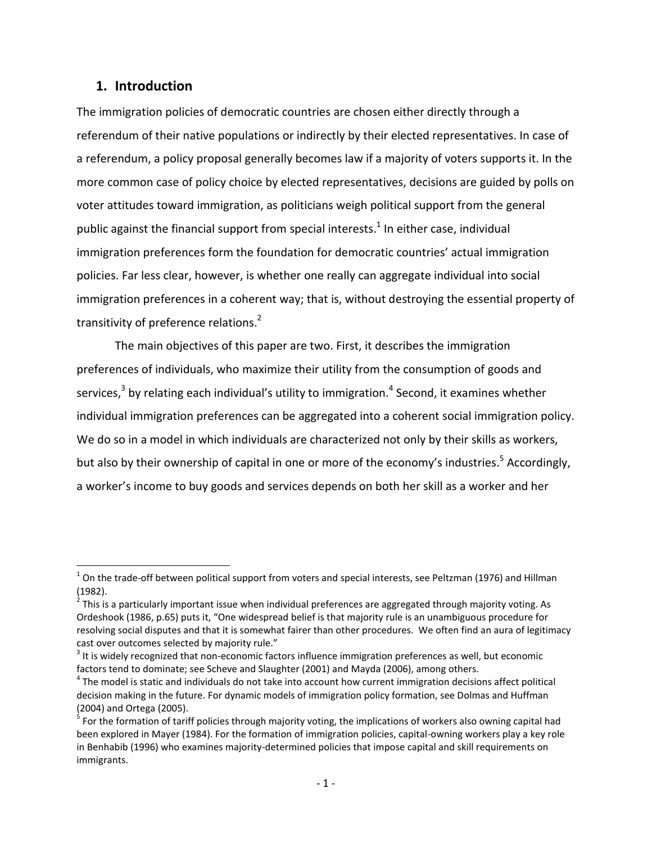## **1. Introduction**

 $\overline{\phantom{a}}$ 

The immigration policies of democratic countries are chosen either directly through a referendum of their native populations or indirectly by their elected representatives. In case of a referendum, a policy proposal generally becomes law if a majority of voters supports it. In the more common case of policy choice by elected representatives, decisions are guided by polls on voter attitudes toward immigration, as politicians weigh political support from the general public against the financial support from special interests.<sup>1</sup> In either case, individual immigration preferences form the foundation for democratic countries' actual immigration policies. Far less clear, however, is whether one really can aggregate individual into social immigration preferences in a coherent way; that is, without destroying the essential property of transitivity of preference relations.<sup>2</sup>

The main objectives of this paper are two. First, it describes the immigration preferences of individuals, who maximize their utility from the consumption of goods and services,<sup>3</sup> by relating each individual's utility to immigration.<sup>4</sup> Second, it examines whether individual immigration preferences can be aggregated into a coherent social immigration policy. We do so in a model in which individuals are characterized not only by their skills as workers, but also by their ownership of capital in one or more of the economy's industries.<sup>5</sup> Accordingly, a worker's income to buy goods and services depends on both her skill as a worker and her

 $^1$  On the trade-off between political support from voters and special interests, see Peltzman (1976) and Hillman

<sup>(1982).&</sup>lt;br><sup>2</sup> This is a particularly important issue when individual preferences are aggregated through majority voting. As Ordeshook (1986, p.65) puts it, "One widespread belief is that majority rule is an unambiguous procedure for resolving social disputes and that it is somewhat fairer than other procedures. We often find an aura of legitimacy cast over outcomes selected by majority rule."

 $^3$  It is widely recognized that non-economic factors influence immigration preferences as well, but economic factors tend to dominate; see Scheve and Slaughter (2001) and Mayda (2006), among others.

<sup>&</sup>lt;sup>4</sup> The model is static and individuals do not take into account how current immigration decisions affect political decision making in the future. For dynamic models of immigration policy formation, see Dolmas and Huffman (2004) and Ortega (2005).

<sup>&</sup>lt;sup>5</sup> For the formation of tariff policies through majority voting, the implications of workers also owning capital had been explored in Mayer (1984). For the formation of immigration policies, capital-owning workers play a key role in Benhabib (1996) who examines majority-determined policies that impose capital and skill requirements on immigrants.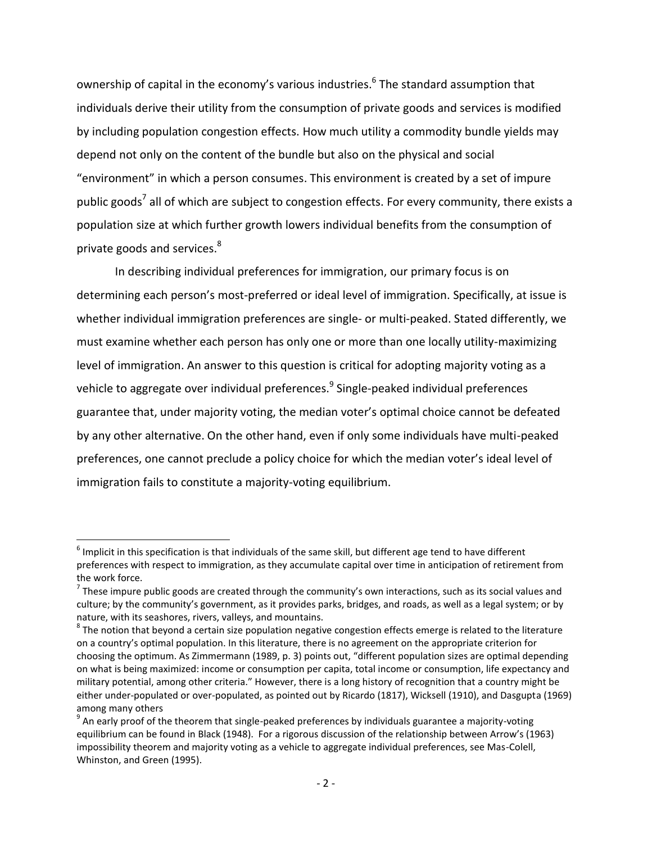ownership of capital in the economy's various industries.<sup>6</sup> The standard assumption that individuals derive their utility from the consumption of private goods and services is modified by including population congestion effects. How much utility a commodity bundle yields may depend not only on the content of the bundle but also on the physical and social "environment" in which a person consumes. This environment is created by a set of impure public goods<sup>7</sup> all of which are subject to congestion effects. For every community, there exists a population size at which further growth lowers individual benefits from the consumption of private goods and services.<sup>8</sup>

In describing individual preferences for immigration, our primary focus is on determining each person's most-preferred or ideal level of immigration. Specifically, at issue is whether individual immigration preferences are single- or multi-peaked. Stated differently, we must examine whether each person has only one or more than one locally utility-maximizing level of immigration. An answer to this question is critical for adopting majority voting as a vehicle to aggregate over individual preferences.<sup>9</sup> Single-peaked individual preferences guarantee that, under majority voting, the median voter's optimal choice cannot be defeated by any other alternative. On the other hand, even if only some individuals have multi-peaked preferences, one cannot preclude a policy choice for which the median voter's ideal level of immigration fails to constitute a majority-voting equilibrium.

 $\overline{\phantom{a}}$ 

 $^6$  Implicit in this specification is that individuals of the same skill, but different age tend to have different preferences with respect to immigration, as they accumulate capital over time in anticipation of retirement from the work force.

 $^7$  These impure public goods are created through the community's own interactions, such as its social values and culture; by the community's government, as it provides parks, bridges, and roads, as well as a legal system; or by nature, with its seashores, rivers, valleys, and mountains.

 $^8$  The notion that beyond a certain size population negative congestion effects emerge is related to the literature on a country's optimal population. In this literature, there is no agreement on the appropriate criterion for choosing the optimum. As Zimmermann (1989, p. 3) points out, "different population sizes are optimal depending on what is being maximized: income or consumption per capita, total income or consumption, life expectancy and military potential, among other criteria." However, there is a long history of recognition that a country might be either under-populated or over-populated, as pointed out by Ricardo (1817), Wicksell (1910), and Dasgupta (1969) among many others

 $^9$  An early proof of the theorem that single-peaked preferences by individuals guarantee a majority-voting equilibrium can be found in Black (1948). For a rigorous discussion of the relationship between Arrow's (1963) impossibility theorem and majority voting as a vehicle to aggregate individual preferences, see Mas-Colell, Whinston, and Green (1995).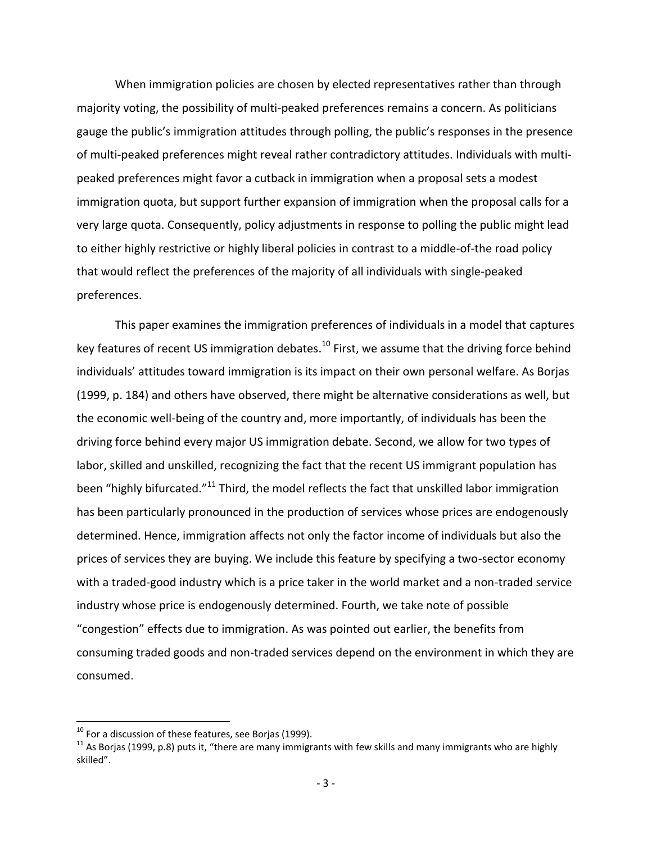When immigration policies are chosen by elected representatives rather than through majority voting, the possibility of multi-peaked preferences remains a concern. As politicians gauge the public's immigration attitudes through polling, the public's responses in the presence of multi-peaked preferences might reveal rather contradictory attitudes. Individuals with multipeaked preferences might favor a cutback in immigration when a proposal sets a modest immigration quota, but support further expansion of immigration when the proposal calls for a very large quota. Consequently, policy adjustments in response to polling the public might lead to either highly restrictive or highly liberal policies in contrast to a middle-of-the road policy that would reflect the preferences of the majority of all individuals with single-peaked preferences.

This paper examines the immigration preferences of individuals in a model that captures key features of recent US immigration debates.<sup>10</sup> First, we assume that the driving force behind individuals' attitudes toward immigration is its impact on their own personal welfare. As Borjas (1999, p. 184) and others have observed, there might be alternative considerations as well, but the economic well-being of the country and, more importantly, of individuals has been the driving force behind every major US immigration debate. Second, we allow for two types of labor, skilled and unskilled, recognizing the fact that the recent US immigrant population has been "highly bifurcated."<sup>11</sup> Third, the model reflects the fact that unskilled labor immigration has been particularly pronounced in the production of services whose prices are endogenously determined. Hence, immigration affects not only the factor income of individuals but also the prices of services they are buying. We include this feature by specifying a two-sector economy with a traded-good industry which is a price taker in the world market and a non-traded service industry whose price is endogenously determined. Fourth, we take note of possible "congestion" effects due to immigration. As was pointed out earlier, the benefits from consuming traded goods and non-traded services depend on the environment in which they are consumed.

 $\overline{\phantom{a}}$ 

 $^{10}$  For a discussion of these features, see Borjas (1999).

 $11$  As Borjas (1999, p.8) puts it, "there are many immigrants with few skills and many immigrants who are highly skilled".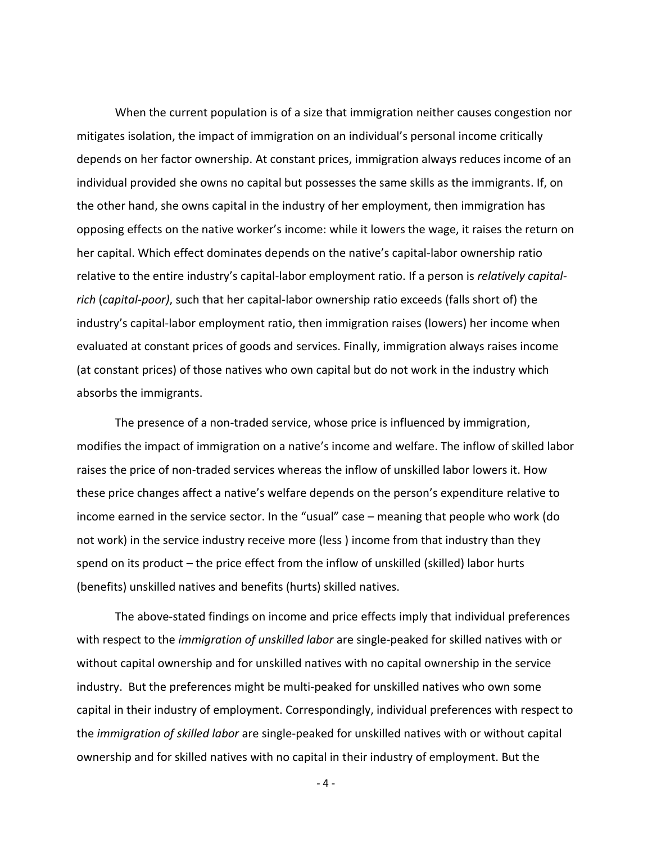When the current population is of a size that immigration neither causes congestion nor mitigates isolation, the impact of immigration on an individual's personal income critically depends on her factor ownership. At constant prices, immigration always reduces income of an individual provided she owns no capital but possesses the same skills as the immigrants. If, on the other hand, she owns capital in the industry of her employment, then immigration has opposing effects on the native worker's income: while it lowers the wage, it raises the return on her capital. Which effect dominates depends on the native's capital-labor ownership ratio relative to the entire industry's capital-labor employment ratio. If a person is *relatively capitalrich* (*capital-poor)*, such that her capital-labor ownership ratio exceeds (falls short of) the industry's capital-labor employment ratio, then immigration raises (lowers) her income when evaluated at constant prices of goods and services. Finally, immigration always raises income (at constant prices) of those natives who own capital but do not work in the industry which absorbs the immigrants.

The presence of a non-traded service, whose price is influenced by immigration, modifies the impact of immigration on a native's income and welfare. The inflow of skilled labor raises the price of non-traded services whereas the inflow of unskilled labor lowers it. How these price changes affect a native's welfare depends on the person's expenditure relative to income earned in the service sector. In the "usual" case – meaning that people who work (do not work) in the service industry receive more (less ) income from that industry than they spend on its product – the price effect from the inflow of unskilled (skilled) labor hurts (benefits) unskilled natives and benefits (hurts) skilled natives.

The above-stated findings on income and price effects imply that individual preferences with respect to the *immigration of unskilled labor* are single-peaked for skilled natives with or without capital ownership and for unskilled natives with no capital ownership in the service industry. But the preferences might be multi-peaked for unskilled natives who own some capital in their industry of employment. Correspondingly, individual preferences with respect to the *immigration of skilled labor* are single-peaked for unskilled natives with or without capital ownership and for skilled natives with no capital in their industry of employment. But the

- 4 -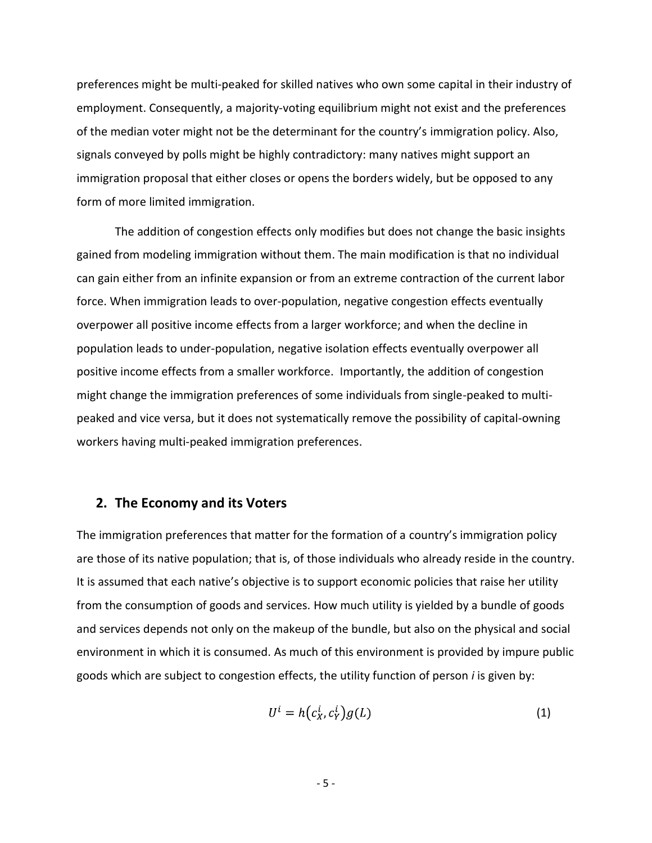preferences might be multi-peaked for skilled natives who own some capital in their industry of employment. Consequently, a majority-voting equilibrium might not exist and the preferences of the median voter might not be the determinant for the country's immigration policy. Also, signals conveyed by polls might be highly contradictory: many natives might support an immigration proposal that either closes or opens the borders widely, but be opposed to any form of more limited immigration.

The addition of congestion effects only modifies but does not change the basic insights gained from modeling immigration without them. The main modification is that no individual can gain either from an infinite expansion or from an extreme contraction of the current labor force. When immigration leads to over-population, negative congestion effects eventually overpower all positive income effects from a larger workforce; and when the decline in population leads to under-population, negative isolation effects eventually overpower all positive income effects from a smaller workforce. Importantly, the addition of congestion might change the immigration preferences of some individuals from single-peaked to multipeaked and vice versa, but it does not systematically remove the possibility of capital-owning workers having multi-peaked immigration preferences.

#### **2. The Economy and its Voters**

The immigration preferences that matter for the formation of a country's immigration policy are those of its native population; that is, of those individuals who already reside in the country. It is assumed that each native's objective is to support economic policies that raise her utility from the consumption of goods and services. How much utility is yielded by a bundle of goods and services depends not only on the makeup of the bundle, but also on the physical and social environment in which it is consumed. As much of this environment is provided by impure public goods which are subject to congestion effects, the utility function of person *i* is given by:

$$
U^i = h(c_X^i, c_Y^i)g(L) \tag{1}
$$

- 5 -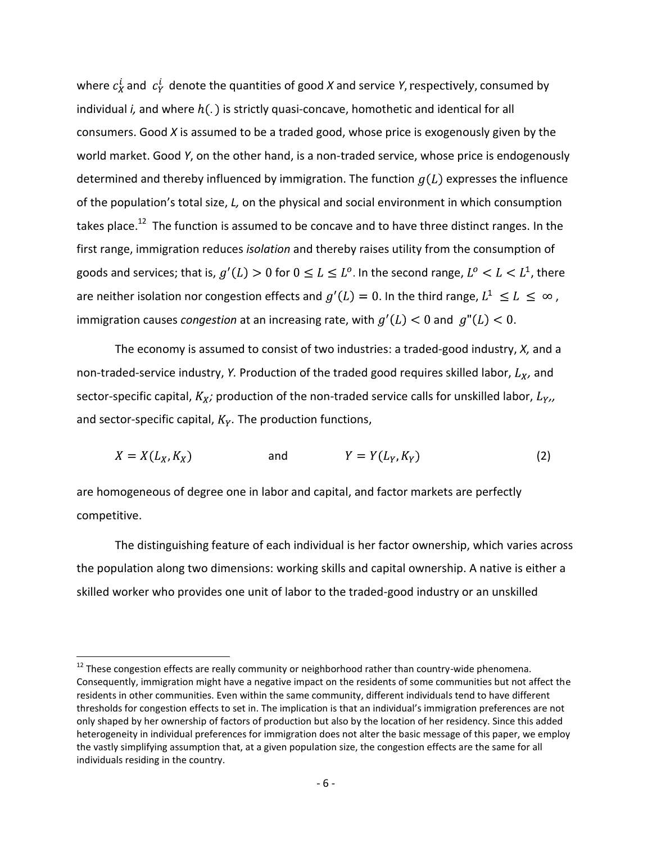where  $c_X^i$  and  $c_Y^i$  denote the quantities of good *X* and service *Y*, respectively, consumed by individual *i*, and where  $h(.)$  is strictly quasi-concave, homothetic and identical for all consumers. Good *X* is assumed to be a traded good, whose price is exogenously given by the world market. Good *Y*, on the other hand, is a non-traded service, whose price is endogenously determined and thereby influenced by immigration. The function  $g(L)$  expresses the influence of the population's total size, *L,* on the physical and social environment in which consumption takes place.<sup>12</sup> The function is assumed to be concave and to have three distinct ranges. In the first range, immigration reduces *isolation* and thereby raises utility from the consumption of goods and services; that is,  $g'(L) > 0$  for  $0 \le L \le L^0$ . In the second range,  $L^0 < L < L^1$ , there are neither isolation nor congestion effects and  $g'(L) = 0$ . In the third range,  $L^1 \le L \le \infty$ , immigration causes *congestion* at an increasing rate, with  $g'(L) < 0$  and  $g''(L) < 0$ .

The economy is assumed to consist of two industries: a traded-good industry, *X,* and a non-traded-service industry, *Y.* Production of the traded good requires skilled labor,  $L_X$ , and sector-specific capital,  $K_X$ ; production of the non-traded service calls for unskilled labor,  $L_{Y}$ , and sector-specific capital,  $K_Y$ . The production functions,

$$
X = X(L_X, K_X) \qquad \text{and} \qquad Y = Y(L_Y, K_Y) \tag{2}
$$

are homogeneous of degree one in labor and capital, and factor markets are perfectly competitive.

 $\overline{\phantom{a}}$ 

The distinguishing feature of each individual is her factor ownership, which varies across the population along two dimensions: working skills and capital ownership. A native is either a skilled worker who provides one unit of labor to the traded-good industry or an unskilled

 $12$  These congestion effects are really community or neighborhood rather than country-wide phenomena. Consequently, immigration might have a negative impact on the residents of some communities but not affect the residents in other communities. Even within the same community, different individuals tend to have different thresholds for congestion effects to set in. The implication is that an individual's immigration preferences are not only shaped by her ownership of factors of production but also by the location of her residency. Since this added heterogeneity in individual preferences for immigration does not alter the basic message of this paper, we employ the vastly simplifying assumption that, at a given population size, the congestion effects are the same for all individuals residing in the country.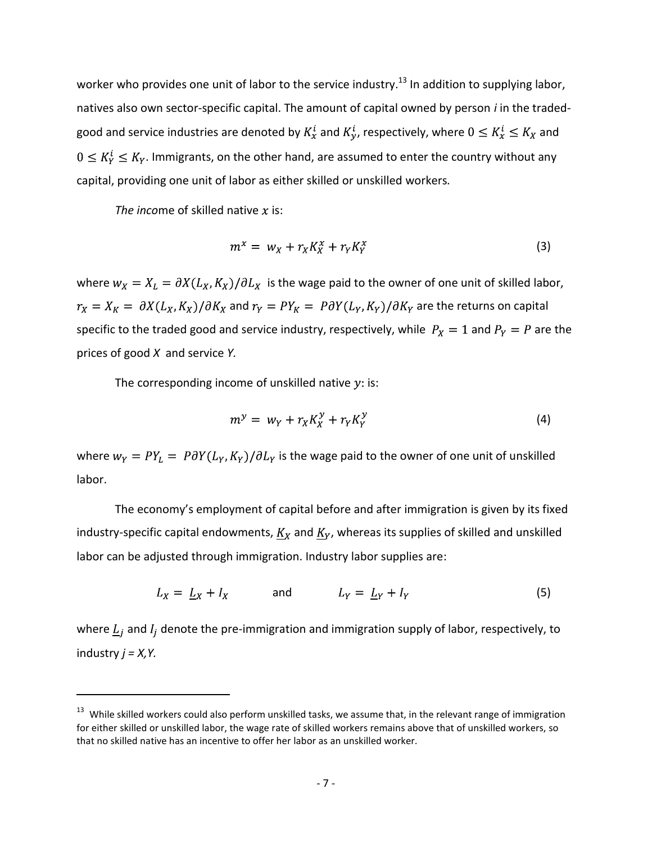worker who provides one unit of labor to the service industry.<sup>13</sup> In addition to supplying labor, natives also own sector-specific capital. The amount of capital owned by person *i* in the tradedgood and service industries are denoted by  $K_x^i$  and  $K_y^i$ , respectively, where  $0 \le K_x^i \le K_x$  and  $0 \le K_Y^i \le K_Y$ . Immigrants, on the other hand, are assumed to enter the country without any capital, providing one unit of labor as either skilled or unskilled workers*.*

*The income of skilled native*  $x$  *is:* 

 $\overline{\phantom{a}}$ 

$$
m^x = w_X + r_X K_X^x + r_Y K_Y^x \tag{3}
$$

where  $w_x = X_L = \partial X(L_x, K_x)/\partial L_x$  is the wage paid to the owner of one unit of skilled labor,  $r_X = X_K = \partial X(L_X, K_X) / \partial K_X$  and  $r_Y = PY_K = \partial Y(L_Y, K_Y) / \partial K_Y$  are the returns on capital specific to the traded good and service industry, respectively, while  $P_X = 1$  and  $P_Y = P$  are the prices of good *X* and service *Y.*

The corresponding income of unskilled native  $y$ : is:

$$
m^{\mathcal{Y}} = w_Y + r_X K_X^{\mathcal{Y}} + r_Y K_Y^{\mathcal{Y}} \tag{4}
$$

where  $w_Y = PY_L = P\partial Y(L_Y, K_Y)/\partial L_Y$  is the wage paid to the owner of one unit of unskilled labor.

The economy's employment of capital before and after immigration is given by its fixed industry-specific capital endowments,  $K_X$  and  $K_Y$ , whereas its supplies of skilled and unskilled labor can be adjusted through immigration. Industry labor supplies are:

$$
L_X = L_X + I_X \qquad \text{and} \qquad L_Y = L_Y + I_Y \tag{5}
$$

where  $\underline{L}_j$  and  $I_j$  denote the pre-immigration and immigration supply of labor, respectively, to industry *j = X,Y.*

<sup>&</sup>lt;sup>13</sup> While skilled workers could also perform unskilled tasks, we assume that, in the relevant range of immigration for either skilled or unskilled labor, the wage rate of skilled workers remains above that of unskilled workers, so that no skilled native has an incentive to offer her labor as an unskilled worker.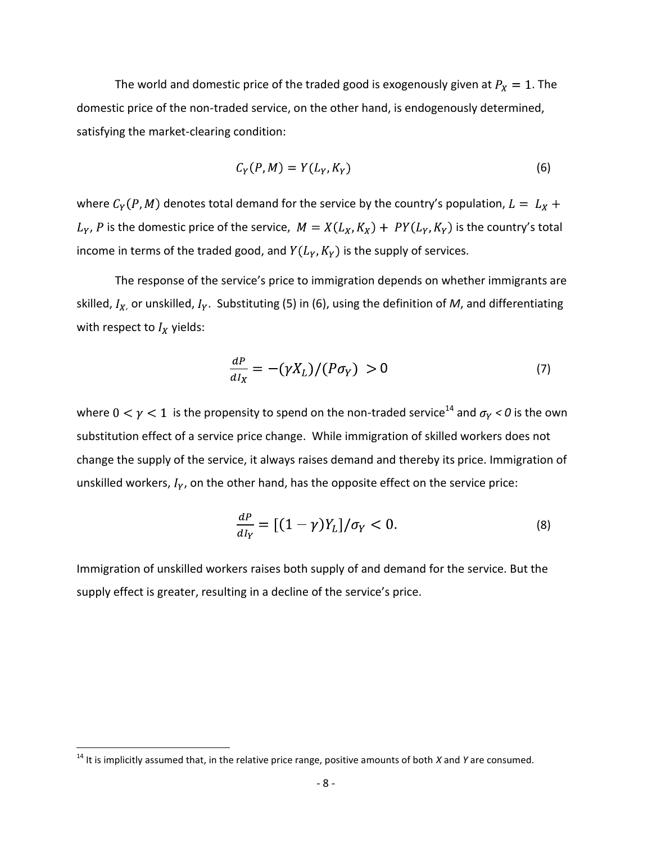The world and domestic price of the traded good is exogenously given at  $P_X = 1$ . The domestic price of the non-traded service, on the other hand, is endogenously determined, satisfying the market-clearing condition:

$$
C_Y(P,M) = Y(L_Y, K_Y) \tag{6}
$$

where  $C_Y(P, M)$  denotes total demand for the service by the country's population,  $L = L_X +$  $L_Y$ , P is the domestic price of the service,  $M = X(L_X, K_X) + PY(L_Y, K_Y)$  is the country's total income in terms of the traded good, and  $Y(L_Y, K_Y)$  is the supply of services.

The response of the service's price to immigration depends on whether immigrants are skilled,  $I_{X}$ , or unskilled,  $I_{Y}$ . Substituting (5) in (6), using the definition of *M*, and differentiating with respect to  $I_X$  yields:

$$
\frac{dP}{dI_X} = -(\gamma X_L)/(P\sigma_Y) > 0 \tag{7}
$$

where  $0 < \gamma < 1$  is the propensity to spend on the non-traded service<sup>14</sup> and  $\sigma_Y < 0$  is the own substitution effect of a service price change. While immigration of skilled workers does not change the supply of the service, it always raises demand and thereby its price. Immigration of unskilled workers,  $I_Y$ , on the other hand, has the opposite effect on the service price:

$$
\frac{dP}{dI_Y} = \left[ (1 - \gamma)Y_L \right] / \sigma_Y < 0. \tag{8}
$$

Immigration of unskilled workers raises both supply of and demand for the service. But the supply effect is greater, resulting in a decline of the service's price.

 $\overline{\phantom{a}}$ 

<sup>14</sup> It is implicitly assumed that, in the relative price range, positive amounts of both *X* and *Y* are consumed.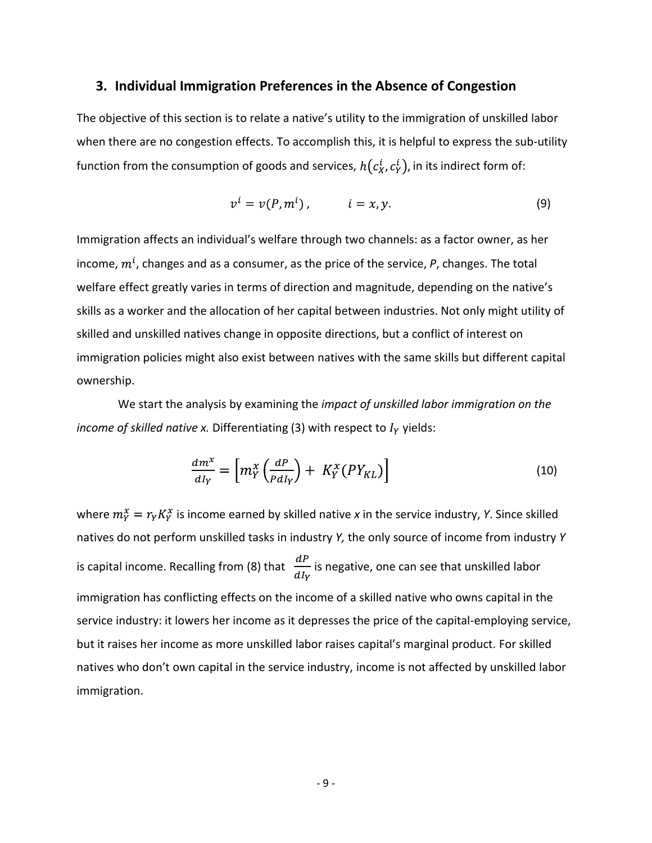#### **3. Individual Immigration Preferences in the Absence of Congestion**

The objective of this section is to relate a native's utility to the immigration of unskilled labor when there are no congestion effects. To accomplish this, it is helpful to express the sub-utility function from the consumption of goods and services,  $h(c_x^i, c_y^i)$ , in its indirect form of:

$$
v^i = v(P, m^i), \qquad i = x, y. \tag{9}
$$

Immigration affects an individual's welfare through two channels: as a factor owner, as her income,  $m^{i}$ , changes and as a consumer, as the price of the service,  $P$ , changes. The total welfare effect greatly varies in terms of direction and magnitude, depending on the native's skills as a worker and the allocation of her capital between industries. Not only might utility of skilled and unskilled natives change in opposite directions, but a conflict of interest on immigration policies might also exist between natives with the same skills but different capital ownership.

We start the analysis by examining the *impact of unskilled labor immigration on the income of skilled native x.* Differentiating (3) with respect to  $I<sub>Y</sub>$  yields:

$$
\frac{dm^x}{dI_Y} = \left[ m_Y^x \left( \frac{dP}{P dI_Y} \right) + K_Y^x \left( P Y_{KL} \right) \right] \tag{10}
$$

where  $m_Y^x = r_Y K_Y^x$  is income earned by skilled native *x* in the service industry, *Y*. Since skilled natives do not perform unskilled tasks in industry *Y,* the only source of income from industry *Y*  is capital income. Recalling from (8) that  $\frac{dP}{dI_v}$  is negative, one can see that unskilled labor immigration has conflicting effects on the income of a skilled native who owns capital in the service industry: it lowers her income as it depresses the price of the capital-employing service, but it raises her income as more unskilled labor raises capital's marginal product. For skilled natives who don't own capital in the service industry, income is not affected by unskilled labor immigration.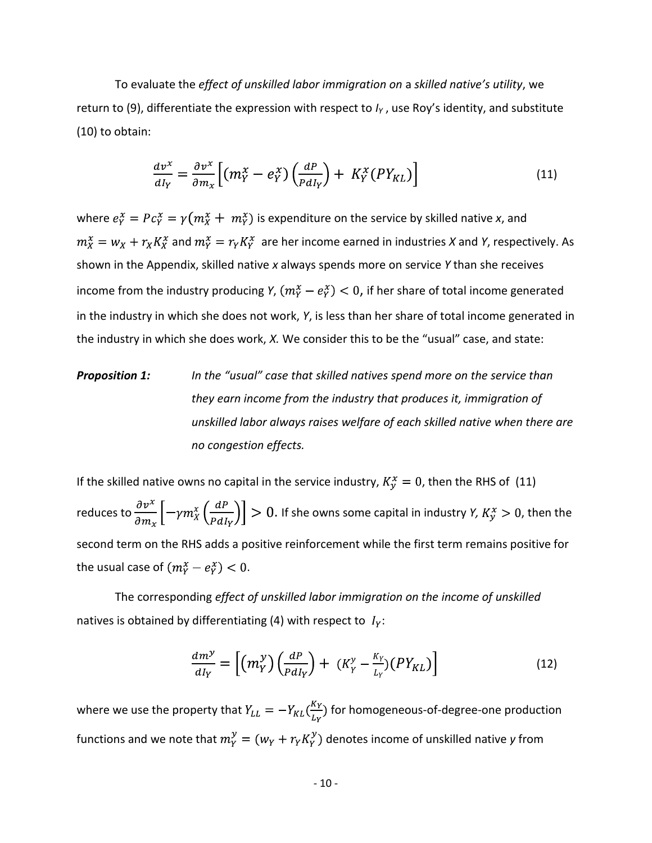To evaluate the *effect of unskilled labor immigration on* a *skilled native's utility*, we return to (9), differentiate the expression with respect to *I<sup>Y</sup>* , use Roy's identity, and substitute (10) to obtain:

$$
\frac{d v^x}{d I_Y} = \frac{\partial v^x}{\partial m_x} \Big[ (m_Y^x - e_Y^x) \Big( \frac{d P}{P d I_Y} \Big) + K_Y^x (P Y_{KL}) \Big] \tag{11}
$$

where  $e^x_Y = Pc^x_Y = \gamma(m^x_X + m^x_Y)$  is expenditure on the service by skilled native *x*, and  $m_X^x = w_X + r_X K_X^x$  and  $m_Y^x = r_Y K_Y^x$  are her income earned in industries *X* and *Y*, respectively. As shown in the Appendix, skilled native *x* always spends more on service *Y* than she receives income from the industry producing *Y*,  $(m_Y^x - e_Y^x) < 0$ , if her share of total income generated in the industry in which she does not work, *Y*, is less than her share of total income generated in the industry in which she does work, *X.* We consider this to be the "usual" case, and state:

*Proposition 1: In the "usual" case that skilled natives spend more on the service than they earn income from the industry that produces it, immigration of unskilled labor always raises welfare of each skilled native when there are no congestion effects.*

If the skilled native owns no capital in the service industry,  $K_{\nu}^x = 0$ , then the RHS of (11) reduces to  $\frac{\partial v^x}{\partial m_x}$   $\left[-\gamma m_X^x \left(\frac{dP}{PdI_v}\right)\right] > 0$ . If she owns some capital in industry *Y, K<sub>y</sub>*  $x > 0$ , then the second term on the RHS adds a positive reinforcement while the first term remains positive for the usual case of  $(m_Y^x - e_Y^x) < 0$ .

The corresponding *effect of unskilled labor immigration on the income of unskilled* natives is obtained by differentiating (4) with respect to  $I_y$ :

$$
\frac{dm^{\gamma}}{dI_{Y}} = \left[ \left( m_{Y}^{\gamma} \right) \left( \frac{dP}{P dI_{Y}} \right) + \left( K_{Y}^{\gamma} - \frac{K_{Y}}{L_{Y}} \right) \left( P Y_{KL} \right) \right] \tag{12}
$$

where we use the property that  $Y_{LL} = -Y_{KL}(\frac{K_Y}{L_Y})$  for homogeneous-of-degree-one production functions and we note that  $m_Y^y = (w_Y + r_Y K_Y^y)$  denotes income of unskilled native *y* from

- 10 -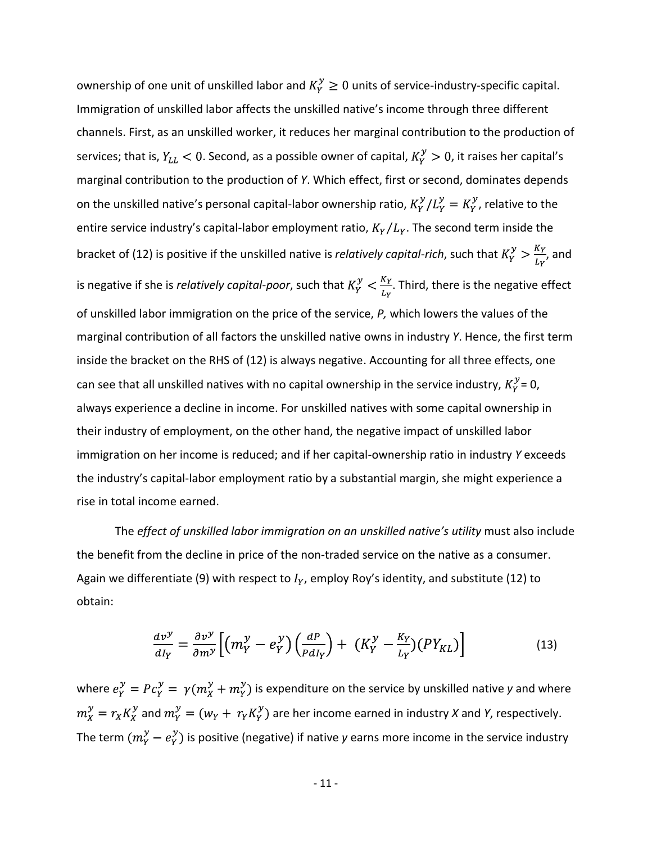ownership of one unit of unskilled labor and  $K_Y^y \geq 0$  units of service-industry-specific capital. Immigration of unskilled labor affects the unskilled native's income through three different channels. First, as an unskilled worker, it reduces her marginal contribution to the production of services; that is,  $Y_{LL} < 0$ . Second, as a possible owner of capital,  $K_Y^y > 0$ , it raises her capital's marginal contribution to the production of *Y*. Which effect, first or second, dominates depends on the unskilled native's personal capital-labor ownership ratio,  $K_Y^{\gamma}/L_Y^{\gamma} = K_Y^{\gamma}$ , relative to the entire service industry's capital-labor employment ratio,  $K_Y/L_Y$ . The second term inside the bracket of (12) is positive if the unskilled native is *relatively capital-rich*, such that  $K_Y^y > \frac{K_Y}{L_Y}$ , and is negative if she is *relatively capital-poor*, such that  $K_Y^y < \frac{K_Y}{L_Y}$ . Third, there is the negative effect of unskilled labor immigration on the price of the service, *P,* which lowers the values of the marginal contribution of all factors the unskilled native owns in industry *Y*. Hence, the first term inside the bracket on the RHS of (12) is always negative. Accounting for all three effects, one can see that all unskilled natives with no capital ownership in the service industry,  $K_Y^y = 0$ , always experience a decline in income. For unskilled natives with some capital ownership in their industry of employment, on the other hand, the negative impact of unskilled labor immigration on her income is reduced; and if her capital-ownership ratio in industry *Y* exceeds the industry's capital-labor employment ratio by a substantial margin, she might experience a rise in total income earned.

The *effect of unskilled labor immigration on an unskilled native's utility* must also include the benefit from the decline in price of the non-traded service on the native as a consumer. Again we differentiate (9) with respect to  $I_Y$ , employ Roy's identity, and substitute (12) to obtain:

$$
\frac{dv^{\mathcal{Y}}}{dI_Y} = \frac{\partial v^{\mathcal{Y}}}{\partial m^{\mathcal{Y}}}\left[ \left( m_Y^{\mathcal{Y}} - e_Y^{\mathcal{Y}} \right) \left( \frac{dP}{P d I_Y} \right) + \left( K_Y^{\mathcal{Y}} - \frac{K_Y}{L_Y} \right) \left( P Y_{KL} \right) \right] \tag{13}
$$

where  $e_y^y = Pc_y^y = \gamma (m_x^y + m_y^y)$  is expenditure on the service by unskilled native *y* and where  $m_X^{\gamma} = r_X K_X^{\gamma}$  and  $m_Y^{\gamma} = (w_Y + r_Y K_Y^{\gamma})$  are her income earned in industry *X* and *Y*, respectively. The term  $(m_Y^y - e_Y^y)$  is positive (negative) if native *y* earns more income in the service industry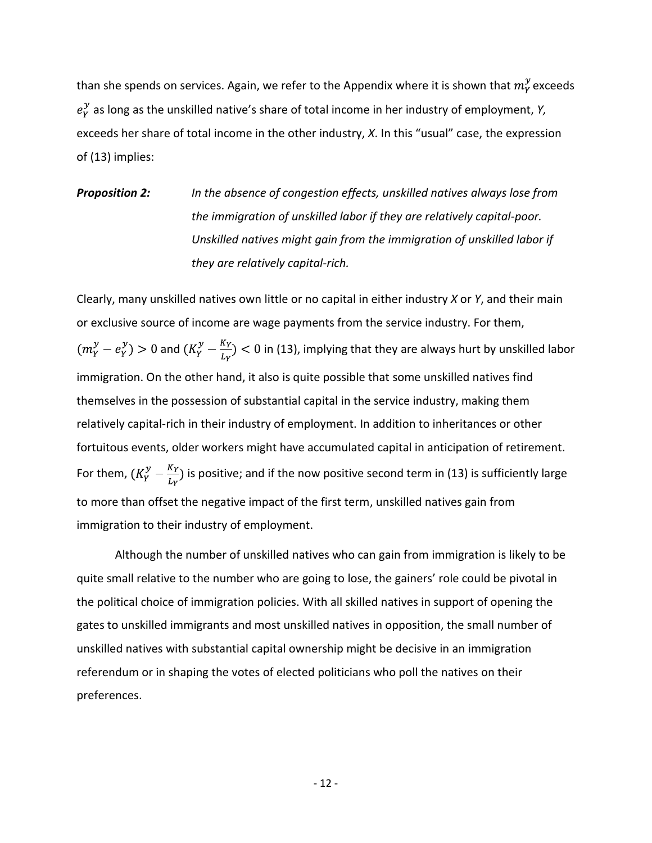than she spends on services. Again, we refer to the Appendix where it is shown that  $m_Y^y$  exceeds  $e_{y}^{y}$  as long as the unskilled native's share of total income in her industry of employment, *Y*, exceeds her share of total income in the other industry, *X*. In this "usual" case, the expression of (13) implies:

*Proposition 2: In the absence of congestion effects, unskilled natives always lose from the immigration of unskilled labor if they are relatively capital-poor. Unskilled natives might gain from the immigration of unskilled labor if they are relatively capital-rich.*

Clearly, many unskilled natives own little or no capital in either industry *X* or *Y*, and their main or exclusive source of income are wage payments from the service industry. For them,  $a_0\big(m_Y^y-e_Y^y\big)>0$  and  $(K_Y^y-\frac{K_Y}{L_Y})<0$  in (13), implying that they are always hurt by unskilled labor immigration. On the other hand, it also is quite possible that some unskilled natives find themselves in the possession of substantial capital in the service industry, making them relatively capital-rich in their industry of employment. In addition to inheritances or other fortuitous events, older workers might have accumulated capital in anticipation of retirement. For them,  $(K_Y^y - \frac{K_Y}{L_Y})$  is positive; and if the now positive second term in (13) is sufficiently large to more than offset the negative impact of the first term, unskilled natives gain from immigration to their industry of employment.

Although the number of unskilled natives who can gain from immigration is likely to be quite small relative to the number who are going to lose, the gainers' role could be pivotal in the political choice of immigration policies. With all skilled natives in support of opening the gates to unskilled immigrants and most unskilled natives in opposition, the small number of unskilled natives with substantial capital ownership might be decisive in an immigration referendum or in shaping the votes of elected politicians who poll the natives on their preferences.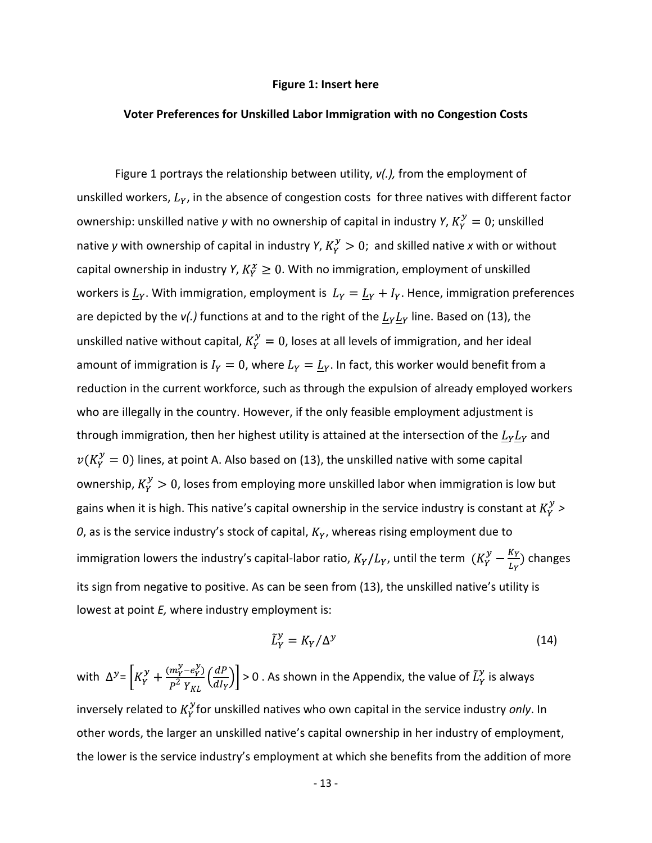#### **Figure 1: Insert here**

#### **Voter Preferences for Unskilled Labor Immigration with no Congestion Costs**

Figure 1 portrays the relationship between utility, *v(.),* from the employment of unskilled workers,  $L<sub>Y</sub>$ , in the absence of congestion costs for three natives with different factor ownership: unskilled native *y* with no ownership of capital in industry *Y*,  $K_Y^y = 0$ ; unskilled native *y* with ownership of capital in industry *Y*,  $K_Y^y > 0$ ; and skilled native *x* with or without capital ownership in industry *Y*,  $K_Y^x \geq 0$ . With no immigration, employment of unskilled workers is  $\underline{L}_Y$ . With immigration, employment is  $L_Y = \underline{L}_Y + I_Y$ . Hence, immigration preferences are depicted by the  $v(.)$  functions at and to the right of the  $L_YL_Y$  line. Based on (13), the unskilled native without capital,  $K_Y^{\mathcal{Y}} = 0$ , loses at all levels of immigration, and her ideal amount of immigration is  $I_Y = 0$ , where  $L_Y = L_Y$ . In fact, this worker would benefit from a reduction in the current workforce, such as through the expulsion of already employed workers who are illegally in the country. However, if the only feasible employment adjustment is through immigration, then her highest utility is attained at the intersection of the  $L_Y L_Y$  and  $\nu(K_V^{\mathcal{Y}}=0)$  lines, at point A. Also based on (13), the unskilled native with some capital ownership,  $K_Y^y > 0$ , loses from employing more unskilled labor when immigration is low but gains when it is high. This native's capital ownership in the service industry is constant at  $K_Y^y$  >  $0$ , as is the service industry's stock of capital,  $K_Y$ , whereas rising employment due to immigration lowers the industry's capital-labor ratio,  $K_Y/L_Y$ , until the term  $(K_Y^y - \frac{K_Y}{L_Y})$  changes its sign from negative to positive. As can be seen from (13), the unskilled native's utility is lowest at point *E,* where industry employment is:

$$
\tilde{L}_Y^{\mathcal{Y}} = K_Y / \Delta^{\mathcal{Y}} \tag{14}
$$

with  $\Delta^y = \left[K_Y^y + \frac{(m_Y^y - e_Y^y)}{P^2 Y_{yy}} \left(\frac{dP}{dI_Y}\right)\right] > 0$ . As shown in the Appendix, the value of  $\tilde{L}_Y^y$  is always inversely related to  $K_Y^{\mathcal{Y}}$  for unskilled natives who own capital in the service industry *only*. In other words, the larger an unskilled native's capital ownership in her industry of employment, the lower is the service industry's employment at which she benefits from the addition of more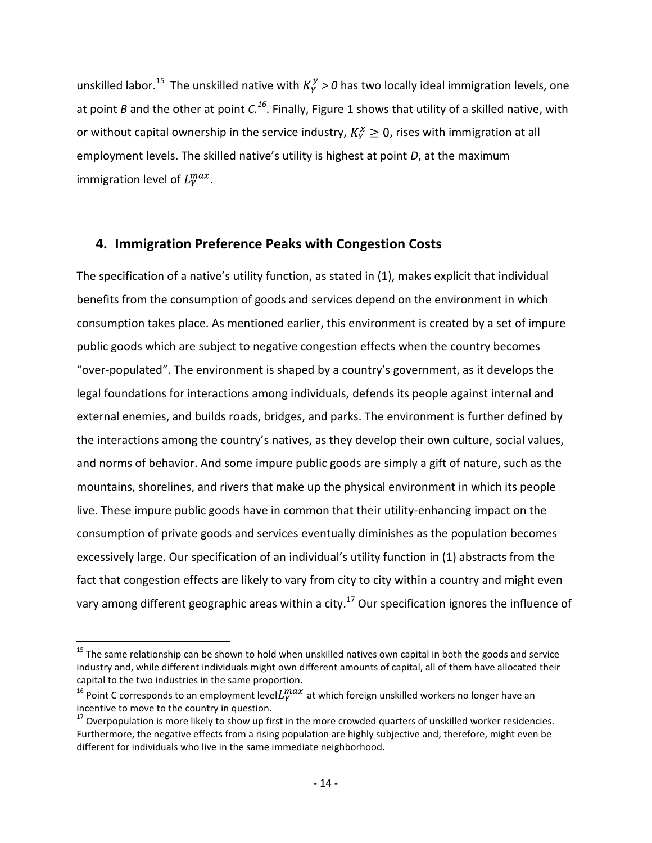unskilled labor.<sup>15</sup> The unskilled native with  $K_Y^y > 0$  has two locally ideal immigration levels, one at point *B* and the other at point *C.<sup>16</sup>* . Finally, Figure 1 shows that utility of a skilled native, with or without capital ownership in the service industry,  $K_Y^x \geq 0$ , rises with immigration at all employment levels. The skilled native's utility is highest at point *D*, at the maximum immigration level of  $L_v^{max}$ .

## **4. Immigration Preference Peaks with Congestion Costs**

The specification of a native's utility function, as stated in (1), makes explicit that individual benefits from the consumption of goods and services depend on the environment in which consumption takes place. As mentioned earlier, this environment is created by a set of impure public goods which are subject to negative congestion effects when the country becomes "over-populated". The environment is shaped by a country's government, as it develops the legal foundations for interactions among individuals, defends its people against internal and external enemies, and builds roads, bridges, and parks. The environment is further defined by the interactions among the country's natives, as they develop their own culture, social values, and norms of behavior. And some impure public goods are simply a gift of nature, such as the mountains, shorelines, and rivers that make up the physical environment in which its people live. These impure public goods have in common that their utility-enhancing impact on the consumption of private goods and services eventually diminishes as the population becomes excessively large. Our specification of an individual's utility function in (1) abstracts from the fact that congestion effects are likely to vary from city to city within a country and might even vary among different geographic areas within a city.<sup>17</sup> Our specification ignores the influence of

l

<sup>&</sup>lt;sup>15</sup> The same relationship can be shown to hold when unskilled natives own capital in both the goods and service industry and, while different individuals might own different amounts of capital, all of them have allocated their capital to the two industries in the same proportion.

<sup>&</sup>lt;sup>16</sup> Point C corresponds to an employment level  $L_Y^{max}$  at which foreign unskilled workers no longer have an incentive to move to the country in question.

 $17$  Overpopulation is more likely to show up first in the more crowded quarters of unskilled worker residencies. Furthermore, the negative effects from a rising population are highly subjective and, therefore, might even be different for individuals who live in the same immediate neighborhood.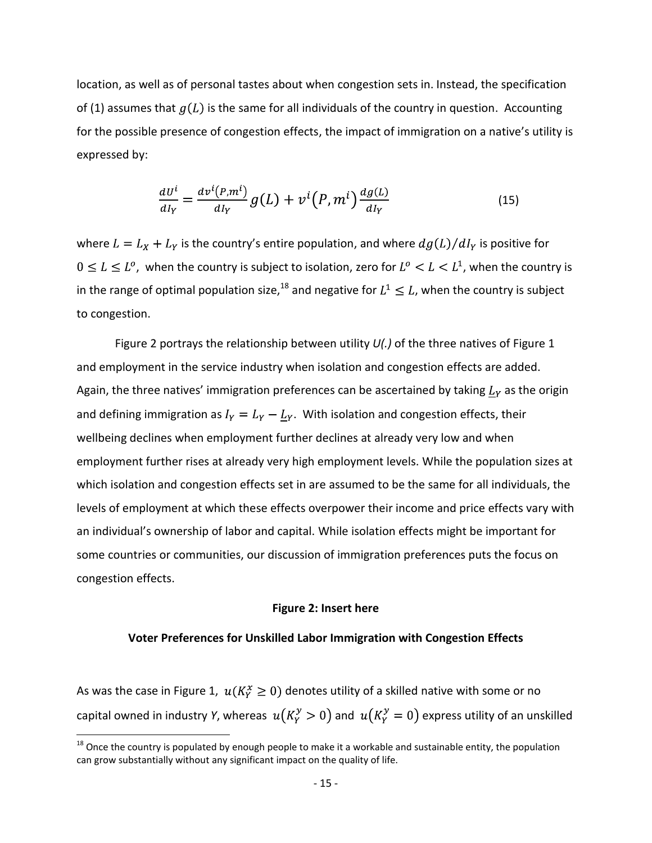location, as well as of personal tastes about when congestion sets in. Instead, the specification of (1) assumes that  $g(L)$  is the same for all individuals of the country in question. Accounting for the possible presence of congestion effects, the impact of immigration on a native's utility is expressed by:

$$
\frac{dU^i}{dI_Y} = \frac{d\nu^i(P,m^i)}{dI_Y}g(L) + \nu^i(P,m^i)\frac{dg(L)}{dI_Y}
$$
\n(15)

where  $L = L_X + L_Y$  is the country's entire population, and where  $dg(L)/dI_Y$  is positive for  $0 \leq L \leq L^o$ , when the country is subject to isolation, zero for  $L^o < L < L^1$ , when the country is in the range of optimal population size,<sup>18</sup> and negative for  $L^1 \leq L$ , when the country is subject to congestion.

Figure 2 portrays the relationship between utility *U(.)* of the three natives of Figure 1 and employment in the service industry when isolation and congestion effects are added. Again, the three natives' immigration preferences can be ascertained by taking  $\underline{L}_Y$  as the origin and defining immigration as  $I_Y = L_Y - L_Y$ . With isolation and congestion effects, their wellbeing declines when employment further declines at already very low and when employment further rises at already very high employment levels. While the population sizes at which isolation and congestion effects set in are assumed to be the same for all individuals, the levels of employment at which these effects overpower their income and price effects vary with an individual's ownership of labor and capital. While isolation effects might be important for some countries or communities, our discussion of immigration preferences puts the focus on congestion effects.

#### **Figure 2: Insert here**

#### **Voter Preferences for Unskilled Labor Immigration with Congestion Effects**

As was the case in Figure 1,  $u(K_Y^x \geq 0)$  denotes utility of a skilled native with some or no capital owned in industry *Y*, whereas  $u(K_Y^y > 0)$  and  $u(K_Y^y = 0)$  express utility of an unskilled

l

 $18$  Once the country is populated by enough people to make it a workable and sustainable entity, the population can grow substantially without any significant impact on the quality of life.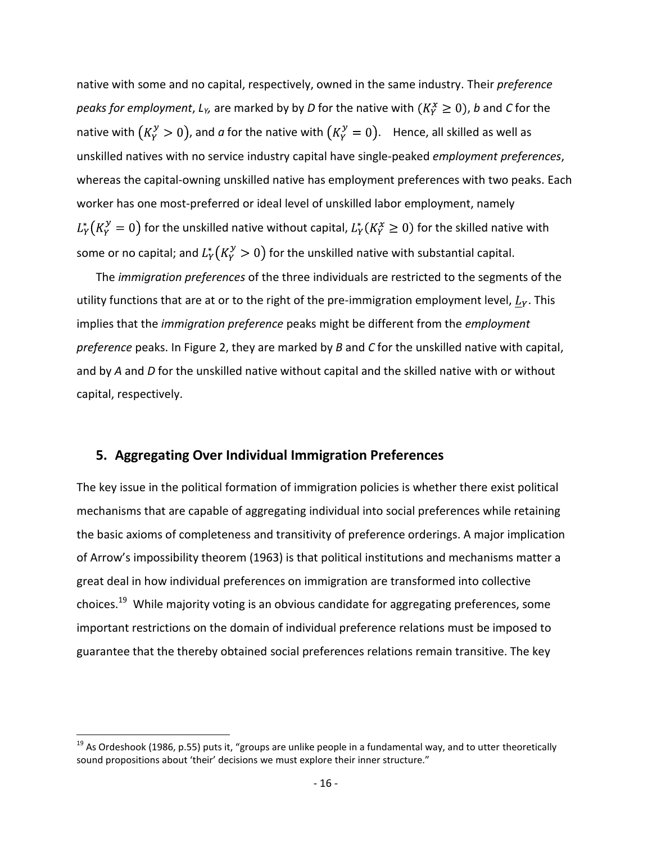native with some and no capital, respectively, owned in the same industry. Their *preference peaks for employment, L<sub>Y</sub>*, are marked by by *D* for the native with  $(K_Y^x \geq 0)$ , *b* and *C* for the native with  $(K_v^y > 0)$ , and *a* for the native with  $(K_v^y = 0)$ . Hence, all skilled as well as unskilled natives with no service industry capital have single-peaked *employment preferences*, whereas the capital-owning unskilled native has employment preferences with two peaks. Each worker has one most-preferred or ideal level of unskilled labor employment, namely  $L_Y^*(K_Y^y=0)$  for the unskilled native without capital,  $L_Y^*(K_Y^x\geq 0)$  for the skilled native with some or no capital; and  $L_Y^*(K_Y^y > 0)$  for the unskilled native with substantial capital.

The *immigration preferences* of the three individuals are restricted to the segments of the utility functions that are at or to the right of the pre-immigration employment level,  $L<sub>Y</sub>$ . This implies that the *immigration preference* peaks might be different from the *employment preference* peaks. In Figure 2, they are marked by *B* and *C* for the unskilled native with capital, and by *A* and *D* for the unskilled native without capital and the skilled native with or without capital, respectively.

#### **5. Aggregating Over Individual Immigration Preferences**

The key issue in the political formation of immigration policies is whether there exist political mechanisms that are capable of aggregating individual into social preferences while retaining the basic axioms of completeness and transitivity of preference orderings. A major implication of Arrow's impossibility theorem (1963) is that political institutions and mechanisms matter a great deal in how individual preferences on immigration are transformed into collective choices.<sup>19</sup> While majority voting is an obvious candidate for aggregating preferences, some important restrictions on the domain of individual preference relations must be imposed to guarantee that the thereby obtained social preferences relations remain transitive. The key

l

 $19$  As Ordeshook (1986, p.55) puts it, "groups are unlike people in a fundamental way, and to utter theoretically sound propositions about 'their' decisions we must explore their inner structure."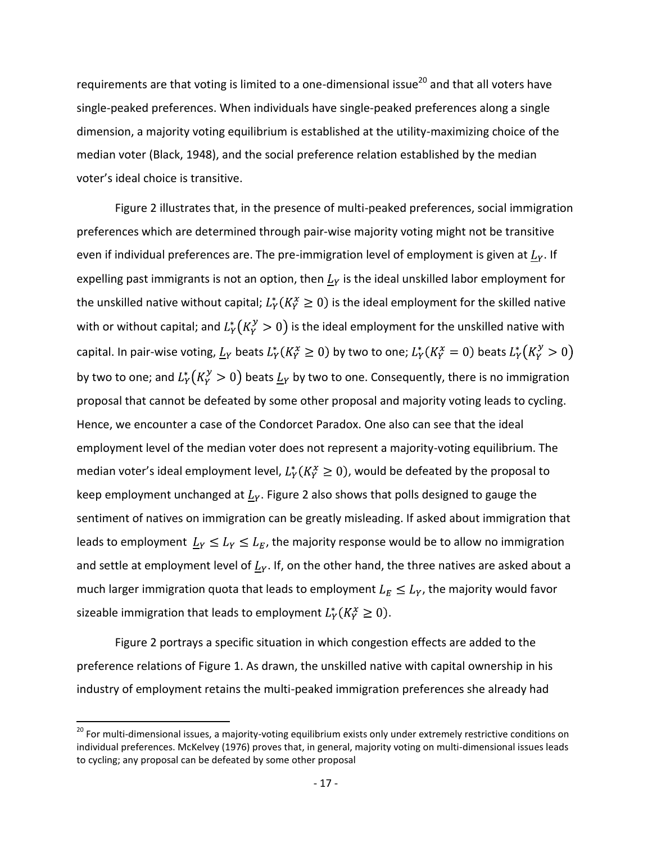requirements are that voting is limited to a one-dimensional issue<sup>20</sup> and that all voters have single-peaked preferences. When individuals have single-peaked preferences along a single dimension, a majority voting equilibrium is established at the utility-maximizing choice of the median voter (Black, 1948), and the social preference relation established by the median voter's ideal choice is transitive.

Figure 2 illustrates that, in the presence of multi-peaked preferences, social immigration preferences which are determined through pair-wise majority voting might not be transitive even if individual preferences are. The pre-immigration level of employment is given at  $L<sub>Y</sub>$ . If expelling past immigrants is not an option, then  $L_Y$  is the ideal unskilled labor employment for the unskilled native without capital;  $L_Y^*(K_Y^* \geq 0)$  is the ideal employment for the skilled native with or without capital; and  $L_Y^*(K_Y^y > 0)$  is the ideal employment for the unskilled native with capital. In pair-wise voting,  $L_Y$  beats  $L_Y^*(K_Y^x \ge 0)$  by two to one;  $L_Y^*(K_Y^x = 0)$  beats  $L_Y^*(K_Y^y > 0)$ by two to one; and  $L_Y^*(K_Y^y > 0)$  beats  $L_Y$  by two to one. Consequently, there is no immigration proposal that cannot be defeated by some other proposal and majority voting leads to cycling. Hence, we encounter a case of the Condorcet Paradox. One also can see that the ideal employment level of the median voter does not represent a majority-voting equilibrium. The median voter's ideal employment level,  $L_Y^*(K_Y^* \geq 0)$ , would be defeated by the proposal to keep employment unchanged at  $L<sub>Y</sub>$ . Figure 2 also shows that polls designed to gauge the sentiment of natives on immigration can be greatly misleading. If asked about immigration that leads to employment  $\underline{L}_Y \leq L_Y \leq L_E$ , the majority response would be to allow no immigration and settle at employment level of  $L<sub>Y</sub>$ . If, on the other hand, the three natives are asked about a much larger immigration quota that leads to employment  $L_E \le L_Y$ , the majority would favor sizeable immigration that leads to employment  $L_Y^*(K_Y^x \geq 0)$ .

Figure 2 portrays a specific situation in which congestion effects are added to the preference relations of Figure 1. As drawn, the unskilled native with capital ownership in his industry of employment retains the multi-peaked immigration preferences she already had

 $\overline{\phantom{a}}$ 

<sup>&</sup>lt;sup>20</sup> For multi-dimensional issues, a majority-voting equilibrium exists only under extremely restrictive conditions on individual preferences. McKelvey (1976) proves that, in general, majority voting on multi-dimensional issues leads to cycling; any proposal can be defeated by some other proposal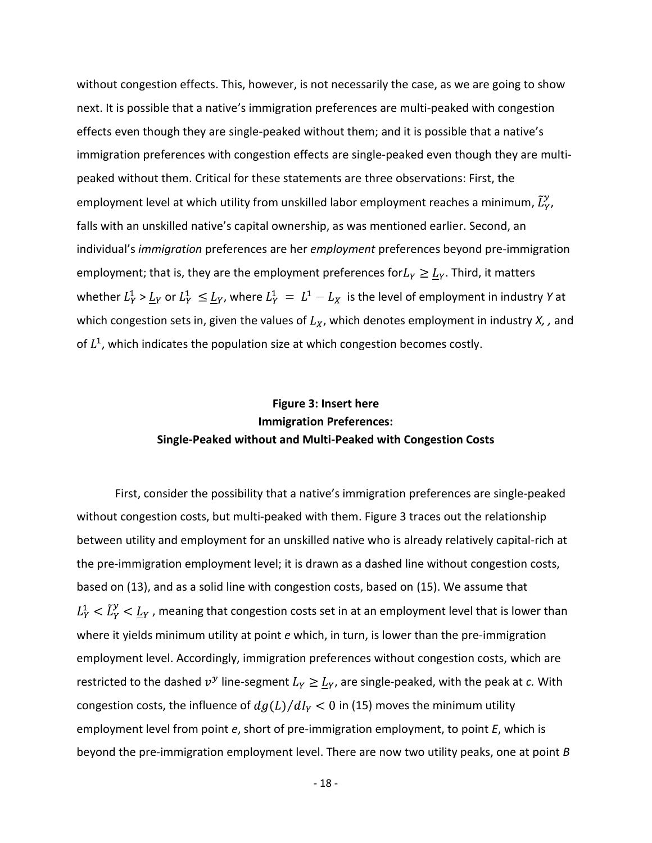without congestion effects. This, however, is not necessarily the case, as we are going to show next. It is possible that a native's immigration preferences are multi-peaked with congestion effects even though they are single-peaked without them; and it is possible that a native's immigration preferences with congestion effects are single-peaked even though they are multipeaked without them. Critical for these statements are three observations: First, the employment level at which utility from unskilled labor employment reaches a minimum,  $\tilde{L}_Y^y$ , falls with an unskilled native's capital ownership, as was mentioned earlier. Second, an individual's *immigration* preferences are her *employment* preferences beyond pre-immigration employment; that is, they are the employment preferences for  $L_Y \geq \underline{L}_Y$ . Third, it matters whether  $L_Y^1 > L_Y$  or  $L_Y^1 \leq L_Y$ , where  $L_Y^1 = L^1 - L_X$  is the level of employment in industry *Y* at which congestion sets in, given the values of  $L_X$ , which denotes employment in industry  $X$ , , and of  $L<sup>1</sup>$ , which indicates the population size at which congestion becomes costly.

# **Figure 3: Insert here Immigration Preferences: Single-Peaked without and Multi-Peaked with Congestion Costs**

First, consider the possibility that a native's immigration preferences are single-peaked without congestion costs, but multi-peaked with them. Figure 3 traces out the relationship between utility and employment for an unskilled native who is already relatively capital-rich at the pre-immigration employment level; it is drawn as a dashed line without congestion costs, based on (13), and as a solid line with congestion costs, based on (15). We assume that  $L_Y^1 < \tilde{L}_Y^{\nu} < \underline{L}_Y$ , meaning that congestion costs set in at an employment level that is lower than where it yields minimum utility at point *e* which, in turn, is lower than the pre-immigration employment level. Accordingly, immigration preferences without congestion costs, which are restricted to the dashed  $v^y$  line-segment  $L_y \geq \underline{L}_y$ , are single-peaked, with the peak at *c*. With congestion costs, the influence of  $dg(L)/dI_Y < 0$  in (15) moves the minimum utility employment level from point *e*, short of pre-immigration employment, to point *E*, which is beyond the pre-immigration employment level. There are now two utility peaks, one at point *B*

- 18 -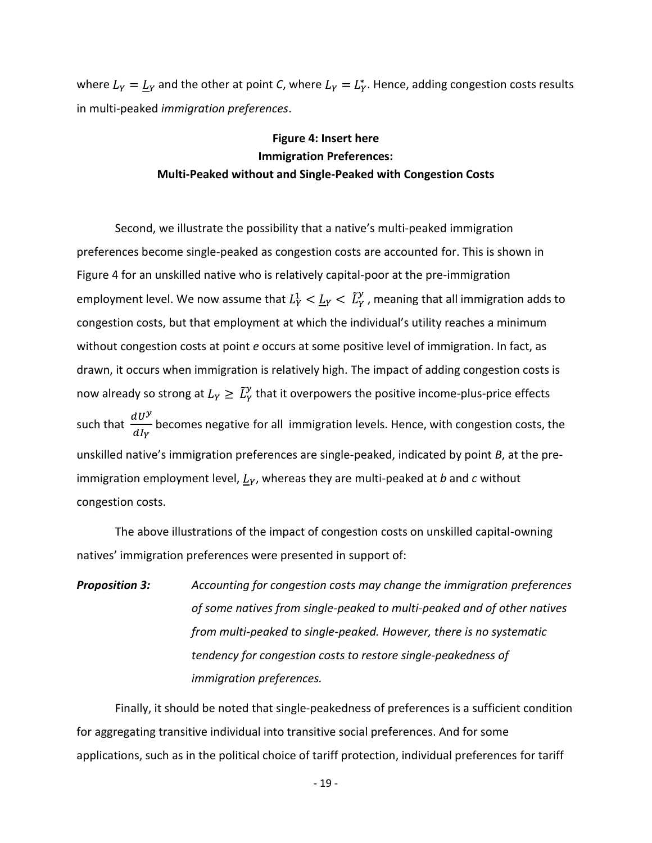where  $L_Y = L_Y$  and the other at point *C*, where  $L_Y = L_Y^*$ . Hence, adding congestion costs results in multi-peaked *immigration preferences*.

# **Figure 4: Insert here Immigration Preferences: Multi-Peaked without and Single-Peaked with Congestion Costs**

Second, we illustrate the possibility that a native's multi-peaked immigration preferences become single-peaked as congestion costs are accounted for. This is shown in Figure 4 for an unskilled native who is relatively capital-poor at the pre-immigration employment level. We now assume that  $L_Y^1 < L_Y < \tilde{L}_Y^{\gamma}$ , meaning that all immigration adds to congestion costs, but that employment at which the individual's utility reaches a minimum without congestion costs at point *e* occurs at some positive level of immigration. In fact, as drawn, it occurs when immigration is relatively high. The impact of adding congestion costs is now already so strong at  $L_Y \geq \tilde{L}_Y^y$  that it overpowers the positive income-plus-price effects such that  $\frac{dU^y}{dI_y}$  becomes negative for all immigration levels. Hence, with congestion costs, the unskilled native's immigration preferences are single-peaked, indicated by point *B*, at the preimmigration employment level,  $L_Y$ , whereas they are multi-peaked at *b* and *c* without congestion costs.

The above illustrations of the impact of congestion costs on unskilled capital-owning natives' immigration preferences were presented in support of:

*Proposition 3: Accounting for congestion costs may change the immigration preferences of some natives from single-peaked to multi-peaked and of other natives from multi-peaked to single-peaked. However, there is no systematic tendency for congestion costs to restore single-peakedness of immigration preferences.*

Finally, it should be noted that single-peakedness of preferences is a sufficient condition for aggregating transitive individual into transitive social preferences. And for some applications, such as in the political choice of tariff protection, individual preferences for tariff

- 19 -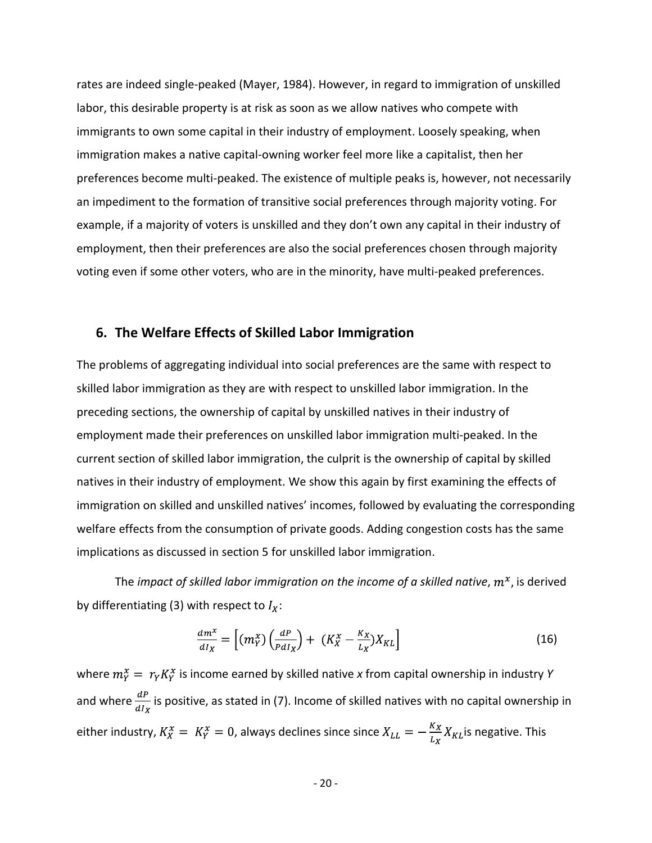rates are indeed single-peaked (Mayer, 1984). However, in regard to immigration of unskilled labor, this desirable property is at risk as soon as we allow natives who compete with immigrants to own some capital in their industry of employment. Loosely speaking, when immigration makes a native capital-owning worker feel more like a capitalist, then her preferences become multi-peaked. The existence of multiple peaks is, however, not necessarily an impediment to the formation of transitive social preferences through majority voting. For example, if a majority of voters is unskilled and they don't own any capital in their industry of employment, then their preferences are also the social preferences chosen through majority voting even if some other voters, who are in the minority, have multi-peaked preferences.

### **6. The Welfare Effects of Skilled Labor Immigration**

The problems of aggregating individual into social preferences are the same with respect to skilled labor immigration as they are with respect to unskilled labor immigration. In the preceding sections, the ownership of capital by unskilled natives in their industry of employment made their preferences on unskilled labor immigration multi-peaked. In the current section of skilled labor immigration, the culprit is the ownership of capital by skilled natives in their industry of employment. We show this again by first examining the effects of immigration on skilled and unskilled natives' incomes, followed by evaluating the corresponding welfare effects from the consumption of private goods. Adding congestion costs has the same implications as discussed in section 5 for unskilled labor immigration.

The *impact of skilled labor immigration on the income of a skilled native*, is derived by differentiating (3) with respect to  $I_x$ :

$$
\frac{dm^x}{dI_X} = \left[ (m_Y^x) \left( \frac{dP}{P dI_X} \right) + \left( K_X^x - \frac{K_X}{L_X} \right) X_{KL} \right] \tag{16}
$$

where  $m_Y^x = r_Y K_Y^x$  is income earned by skilled native *x* from capital ownership in industry *Y* and where  $\frac{dP}{dx}$  is positive, as stated in (7). Income of skilled natives with no capital ownership in either industry,  $K_X^x = K_Y^x = 0$ , always declines since since  $X_{LL} = -\frac{K_X}{L_Y} X_{KL}$  is negative. This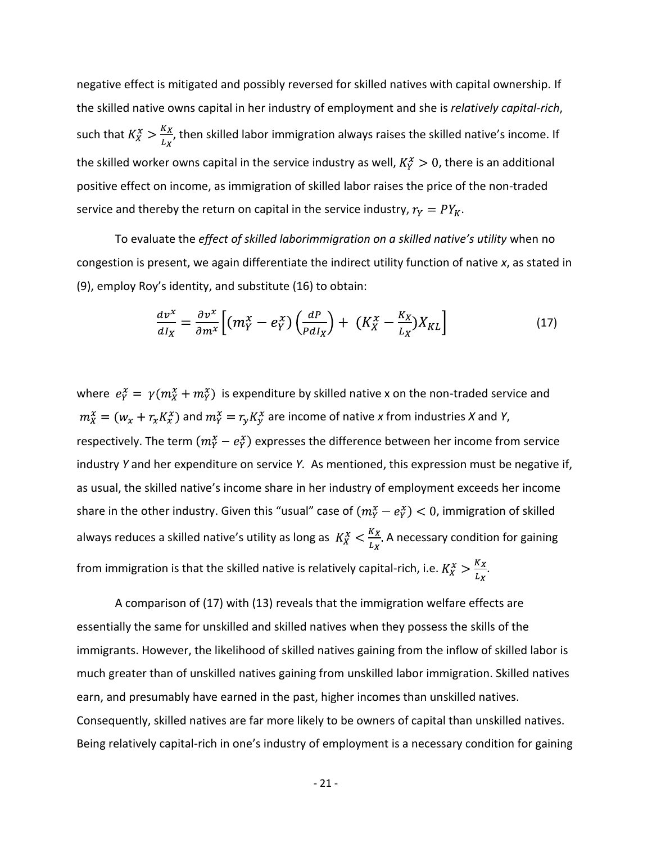negative effect is mitigated and possibly reversed for skilled natives with capital ownership. If the skilled native owns capital in her industry of employment and she is *relatively capital-rich*, such that  $K_X^x > \frac{K_X}{L_X}$ , then skilled labor immigration always raises the skilled native's income. If the skilled worker owns capital in the service industry as well,  $K_Y^x > 0$ , there is an additional positive effect on income, as immigration of skilled labor raises the price of the non-traded service and thereby the return on capital in the service industry,  $r_Y = PY_K$ .

To evaluate the *effect of skilled laborimmigration on a skilled native's utility* when no congestion is present, we again differentiate the indirect utility function of native *x*, as stated in (9), employ Roy's identity, and substitute (16) to obtain:

$$
\frac{dv^x}{dI_X} = \frac{\partial v^x}{\partial m^x} \Big[ (m_Y^x - e_Y^x) \left( \frac{dP}{P dI_X} \right) + \left( K_X^x - \frac{K_X}{L_X} \right) X_{KL} \Big] \tag{17}
$$

where  $e^x_Y = \gamma(m^x_X + m^x_Y)$  is expenditure by skilled native x on the non-traded service and  $m_X^x = (w_x + r_x K_x^x)$  and  $m_Y^x = r_y K_y^x$  are income of native *x* from industries *X* and *Y*, respectively. The term  $(m_Y^x - e_Y^x)$  expresses the difference between her income from service industry *Y* and her expenditure on service *Y.* As mentioned, this expression must be negative if, as usual, the skilled native's income share in her industry of employment exceeds her income share in the other industry. Given this "usual" case of  $(m_Y^x - e_Y^x) < 0$ , immigration of skilled always reduces a skilled native's utility as long as  $K_X^x < \frac{K_X}{L_X}$ . A necessary condition for gaining from immigration is that the skilled native is relatively capital-rich, i.e.  $K_X^x > \frac{K_X}{L_X}$ .

A comparison of (17) with (13) reveals that the immigration welfare effects are essentially the same for unskilled and skilled natives when they possess the skills of the immigrants. However, the likelihood of skilled natives gaining from the inflow of skilled labor is much greater than of unskilled natives gaining from unskilled labor immigration. Skilled natives earn, and presumably have earned in the past, higher incomes than unskilled natives. Consequently, skilled natives are far more likely to be owners of capital than unskilled natives. Being relatively capital-rich in one's industry of employment is a necessary condition for gaining

- 21 -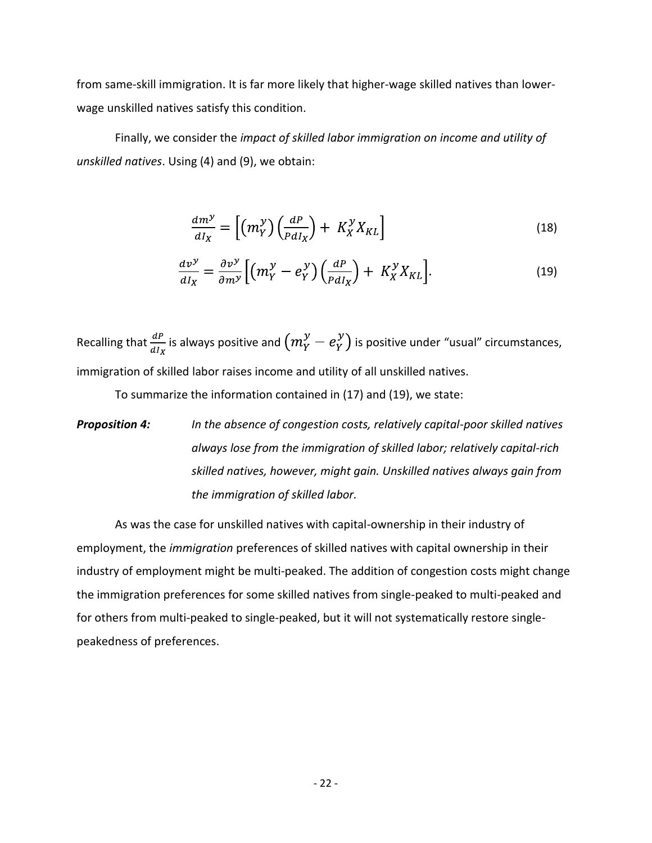from same-skill immigration. It is far more likely that higher-wage skilled natives than lowerwage unskilled natives satisfy this condition.

Finally, we consider the *impact of skilled labor immigration on income and utility of unskilled natives*. Using (4) and (9), we obtain:

$$
\frac{dm^{\mathcal{Y}}}{dI_X} = \left[ \left( m_Y^{\mathcal{Y}} \right) \left( \frac{dP}{P dI_X} \right) + K_X^{\mathcal{Y}} X_{KL} \right] \tag{18}
$$

$$
\frac{dv^{\mathcal{Y}}}{dI_X} = \frac{\partial v^{\mathcal{Y}}}{\partial m^{\mathcal{Y}}} \Big[ \Big( m_Y^{\mathcal{Y}} - e_Y^{\mathcal{Y}} \Big) \Big( \frac{dP}{P dI_X} \Big) + K_X^{\mathcal{Y}} X_{KL} \Big]. \tag{19}
$$

Recalling that  $\frac{dP}{dI_Y}$  is always positive and  $\left(m_Y^y - e_Y^y\right)$  is positive under "usual" circumstances, immigration of skilled labor raises income and utility of all unskilled natives.

To summarize the information contained in (17) and (19), we state:

*Proposition 4: In the absence of congestion costs, relatively capital-poor skilled natives always lose from the immigration of skilled labor; relatively capital-rich skilled natives, however, might gain. Unskilled natives always gain from the immigration of skilled labor.*

As was the case for unskilled natives with capital-ownership in their industry of employment, the *immigration* preferences of skilled natives with capital ownership in their industry of employment might be multi-peaked. The addition of congestion costs might change the immigration preferences for some skilled natives from single-peaked to multi-peaked and for others from multi-peaked to single-peaked, but it will not systematically restore singlepeakedness of preferences.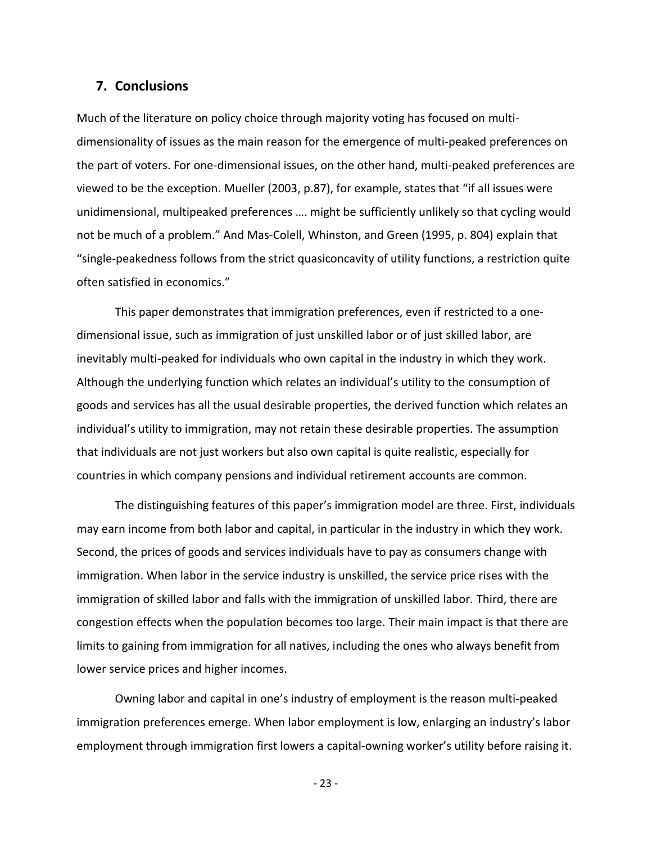### **7. Conclusions**

Much of the literature on policy choice through majority voting has focused on multidimensionality of issues as the main reason for the emergence of multi-peaked preferences on the part of voters. For one-dimensional issues, on the other hand, multi-peaked preferences are viewed to be the exception. Mueller (2003, p.87), for example, states that "if all issues were unidimensional, multipeaked preferences …. might be sufficiently unlikely so that cycling would not be much of a problem." And Mas-Colell, Whinston, and Green (1995, p. 804) explain that "single-peakedness follows from the strict quasiconcavity of utility functions, a restriction quite often satisfied in economics."

This paper demonstrates that immigration preferences, even if restricted to a onedimensional issue, such as immigration of just unskilled labor or of just skilled labor, are inevitably multi-peaked for individuals who own capital in the industry in which they work. Although the underlying function which relates an individual's utility to the consumption of goods and services has all the usual desirable properties, the derived function which relates an individual's utility to immigration, may not retain these desirable properties. The assumption that individuals are not just workers but also own capital is quite realistic, especially for countries in which company pensions and individual retirement accounts are common.

The distinguishing features of this paper's immigration model are three. First, individuals may earn income from both labor and capital, in particular in the industry in which they work. Second, the prices of goods and services individuals have to pay as consumers change with immigration. When labor in the service industry is unskilled, the service price rises with the immigration of skilled labor and falls with the immigration of unskilled labor. Third, there are congestion effects when the population becomes too large. Their main impact is that there are limits to gaining from immigration for all natives, including the ones who always benefit from lower service prices and higher incomes.

Owning labor and capital in one's industry of employment is the reason multi-peaked immigration preferences emerge. When labor employment is low, enlarging an industry's labor employment through immigration first lowers a capital-owning worker's utility before raising it.

- 23 -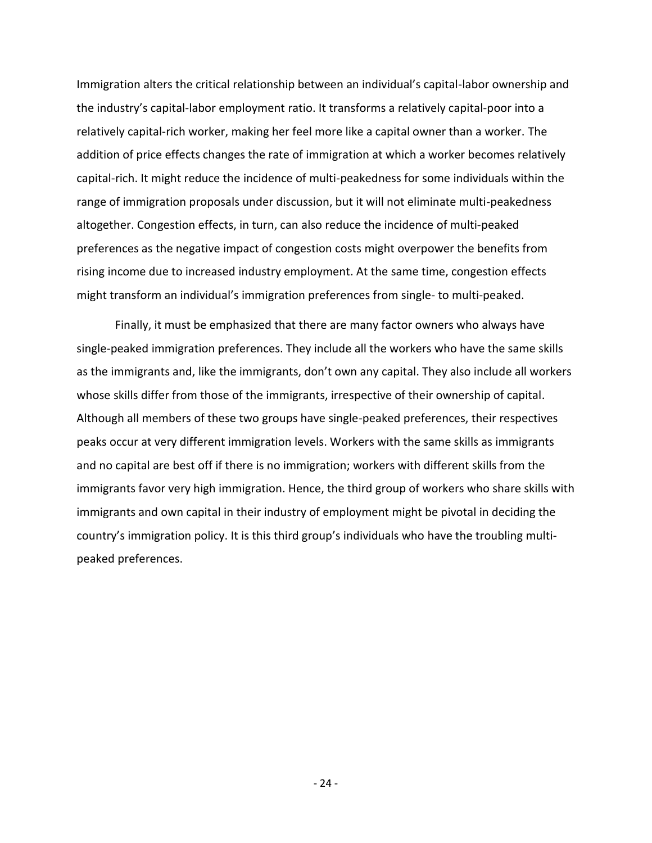Immigration alters the critical relationship between an individual's capital-labor ownership and the industry's capital-labor employment ratio. It transforms a relatively capital-poor into a relatively capital-rich worker, making her feel more like a capital owner than a worker. The addition of price effects changes the rate of immigration at which a worker becomes relatively capital-rich. It might reduce the incidence of multi-peakedness for some individuals within the range of immigration proposals under discussion, but it will not eliminate multi-peakedness altogether. Congestion effects, in turn, can also reduce the incidence of multi-peaked preferences as the negative impact of congestion costs might overpower the benefits from rising income due to increased industry employment. At the same time, congestion effects might transform an individual's immigration preferences from single- to multi-peaked.

Finally, it must be emphasized that there are many factor owners who always have single-peaked immigration preferences. They include all the workers who have the same skills as the immigrants and, like the immigrants, don't own any capital. They also include all workers whose skills differ from those of the immigrants, irrespective of their ownership of capital. Although all members of these two groups have single-peaked preferences, their respectives peaks occur at very different immigration levels. Workers with the same skills as immigrants and no capital are best off if there is no immigration; workers with different skills from the immigrants favor very high immigration. Hence, the third group of workers who share skills with immigrants and own capital in their industry of employment might be pivotal in deciding the country's immigration policy. It is this third group's individuals who have the troubling multipeaked preferences.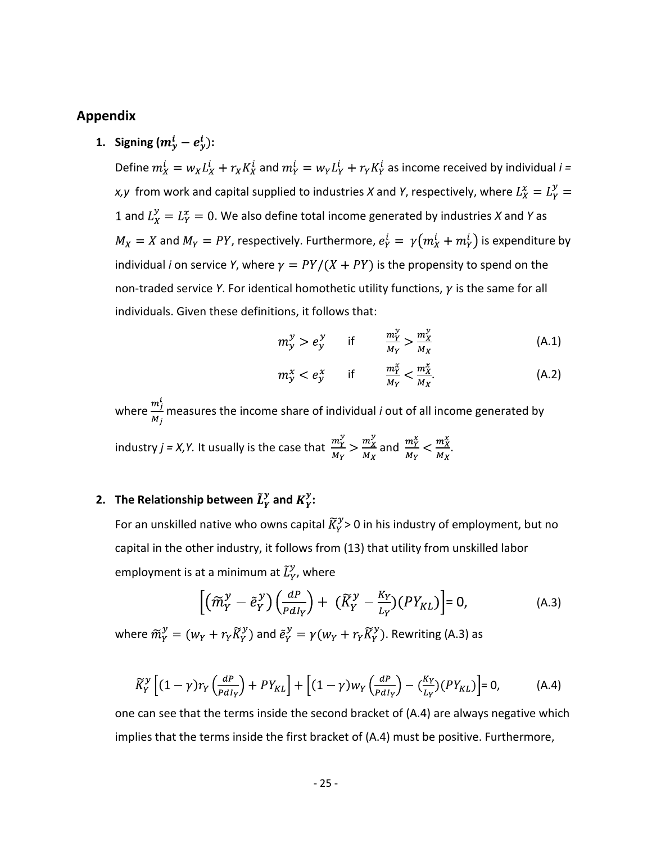## **Appendix**

**1. Signing**  $(m_v^i - e_v^i)$ :

Define  $m_X^i = w_X L_X^i + r_X K_X^i$  and  $m_Y^i = w_Y L_Y^i + r_Y K_Y^i$  as income received by individual  $i =$ *x,y* from work and capital supplied to industries *X* and *Y*, respectively, where  $L_X^x = L_Y^y =$ 1 and  $L_X^y = L_Y^x = 0$ . We also define total income generated by industries *X* and *Y* as  $M_X = X$  and  $M_Y = PY$ , respectively. Furthermore,  $e_Y^i = \gamma (m_X^i + m_Y^i)$  is expenditure by individual *i* on service *Y*, where  $\gamma = PY/(X + PY)$  is the propensity to spend on the non-traded service *Y*. For identical homothetic utility functions,  $\gamma$  is the same for all individuals. Given these definitions, it follows that:

$$
m_{\mathcal{Y}}^{\mathcal{Y}} > e_{\mathcal{Y}}^{\mathcal{Y}} \qquad \text{if} \qquad \frac{m_{\mathcal{Y}}^{\mathcal{Y}}}{M_{\mathcal{Y}}} > \frac{m_{\mathcal{X}}^{\mathcal{Y}}}{M_{\mathcal{X}}} \tag{A.1}
$$

$$
m^x_{y} < e^x_{y} \qquad \text{if} \qquad \frac{m^x_{Y}}{M_Y} < \frac{m^x_{X}}{M_X}.\tag{A.2}
$$

where  $\frac{m_j'}{M}$  measures the income share of individual *i* out of all income generated by

industry  $j = X, Y$ . It usually is the case that  $\frac{m_Y^y}{M_Y} > \frac{m_X^y}{M_X}$  and  $\frac{m_Y^x}{M_Y} < \frac{m_X^x}{M_Y}$ .

# **2.** The Relationship between  $\tilde{L}_Y^y$  and  $K_Y^y$ :

For an unskilled native who owns capital  $\widetilde{K}_Y^y$  > 0 in his industry of employment, but no capital in the other industry, it follows from (13) that utility from unskilled labor employment is at a minimum at  $\tilde{L}_Y^y$ , where

$$
\left[ \left( \widetilde{m}_{Y}^{y} - \widetilde{e}_{Y}^{y} \right) \left( \frac{dP}{P d I_{Y}} \right) + \left( \widetilde{K}_{Y}^{y} - \frac{K_{Y}}{L_{Y}} \right) \left( P Y_{KL} \right) \right] = 0, \tag{A.3}
$$

where  $\widetilde{m}_v^y = (w_v + r_v \widetilde{K}_v^y)$  and  $\widetilde{e}_v^y = \gamma (w_v + r_v \widetilde{K}_v^y)$ . Rewriting (A.3) as

$$
\widetilde{K}_Y^{\mathcal{Y}}\left[ (1-\gamma)r_Y\left(\frac{dP}{PdI_Y}\right) + PY_{KL} \right] + \left[ (1-\gamma)w_Y\left(\frac{dP}{PdI_Y}\right) - \left(\frac{K_Y}{L_Y}\right)\left(PY_{KL}\right) \right] = 0, \tag{A.4}
$$

one can see that the terms inside the second bracket of (A.4) are always negative which implies that the terms inside the first bracket of (A.4) must be positive. Furthermore,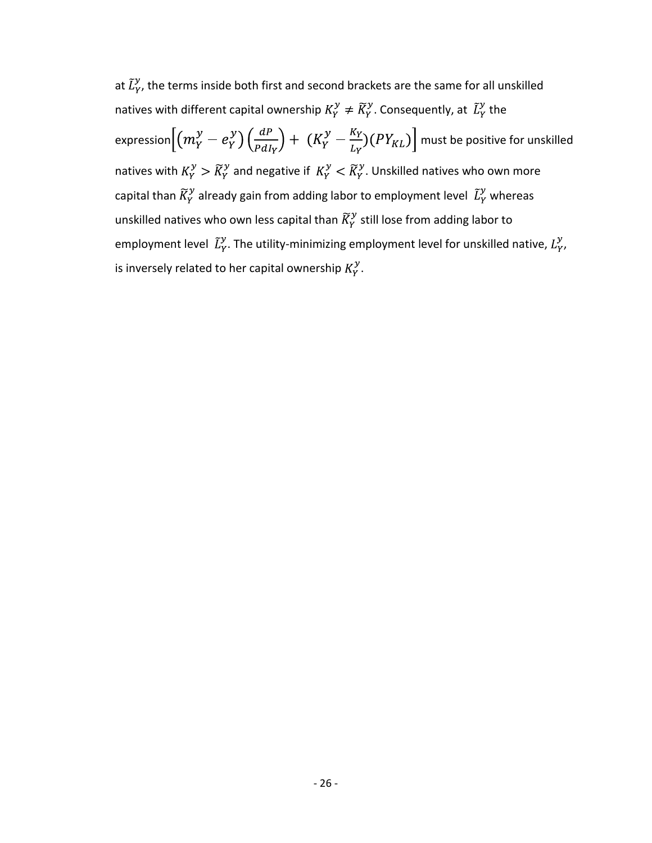at  $\tilde{L}_Y^y$ , the terms inside both first and second brackets are the same for all unskilled natives with different capital ownership  $K_Y^y \neq \widetilde{K}_Y^y$ . Consequently, at  $\widetilde{L}_Y^y$  the expression $\left[\left(m_Y^y - e_Y^y\right)\left(\frac{dP}{PdI_V}\right) + \left(K_Y^y - \frac{K_Y}{L_Y}\right)(PY_{KL})\right]$  must be positive for unskilled natives with  $K_Y^y > \widetilde{K}_Y^y$  and negative if  $K_Y^y < \widetilde{K}_Y^y$ . Unskilled natives who own more capital than  $\widetilde{K}_Y^{\mathcal{Y}}$  already gain from adding labor to employment level  $\widetilde{L}_Y^{\mathcal{Y}}$  whereas unskilled natives who own less capital than  $\widetilde{K}_Y^{\mathcal{Y}}$  still lose from adding labor to employment level  $\tilde{L}_Y^y$ . The utility-minimizing employment level for unskilled native,  $L_Y^y$ , is inversely related to her capital ownership  $K_Y^{\mathcal{Y}}$ .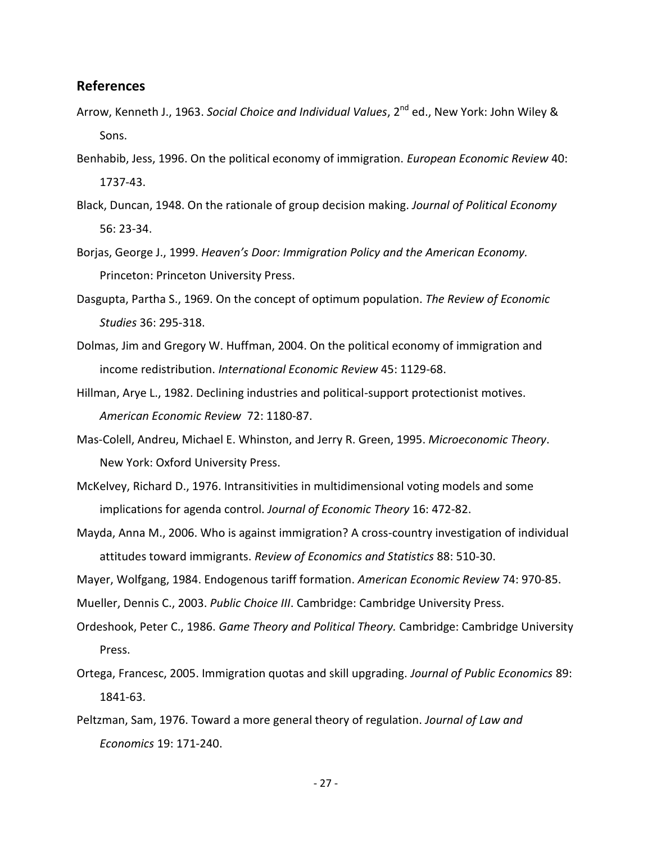#### **References**

- Arrow, Kenneth J., 1963. *Social Choice and Individual Values*, 2<sup>nd</sup> ed., New York: John Wiley & Sons.
- Benhabib, Jess, 1996. On the political economy of immigration. *European Economic Review* 40: 1737-43.
- Black, Duncan, 1948. On the rationale of group decision making. *Journal of Political Economy* 56: 23-34.
- Borjas, George J., 1999. *Heaven's Door: Immigration Policy and the American Economy.*  Princeton: Princeton University Press.
- Dasgupta, Partha S., 1969. On the concept of optimum population. *The Review of Economic Studies* 36: 295-318.
- Dolmas, Jim and Gregory W. Huffman, 2004. On the political economy of immigration and income redistribution. *International Economic Review* 45: 1129-68.
- Hillman, Arye L., 1982. Declining industries and political-support protectionist motives. *American Economic Review* 72: 1180-87.
- Mas-Colell, Andreu, Michael E. Whinston, and Jerry R. Green, 1995. *Microeconomic Theory*. New York: Oxford University Press.
- McKelvey, Richard D., 1976. Intransitivities in multidimensional voting models and some implications for agenda control. *Journal of Economic Theory* 16: 472-82.
- Mayda, Anna M., 2006. Who is against immigration? A cross-country investigation of individual attitudes toward immigrants. *Review of Economics and Statistics* 88: 510-30.
- Mayer, Wolfgang, 1984. Endogenous tariff formation. *American Economic Review* 74: 970-85.

Mueller, Dennis C., 2003. *Public Choice III*. Cambridge: Cambridge University Press.

- Ordeshook, Peter C., 1986. *Game Theory and Political Theory.* Cambridge: Cambridge University Press.
- Ortega, Francesc, 2005. Immigration quotas and skill upgrading. *Journal of Public Economics* 89: 1841-63.
- Peltzman, Sam, 1976. Toward a more general theory of regulation. *Journal of Law and Economics* 19: 171-240.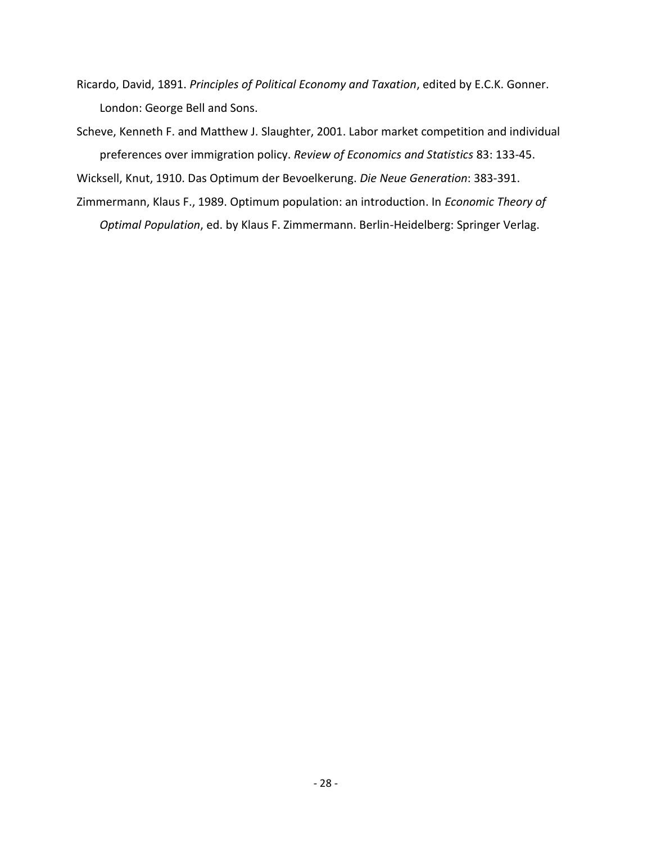- Ricardo, David, 1891. *Principles of Political Economy and Taxation*, edited by E.C.K. Gonner. London: George Bell and Sons.
- Scheve, Kenneth F. and Matthew J. Slaughter, 2001. Labor market competition and individual preferences over immigration policy. *Review of Economics and Statistics* 83: 133-45.

Wicksell, Knut, 1910. Das Optimum der Bevoelkerung. *Die Neue Generation*: 383-391.

Zimmermann, Klaus F., 1989. Optimum population: an introduction. In *Economic Theory of Optimal Population*, ed. by Klaus F. Zimmermann. Berlin-Heidelberg: Springer Verlag.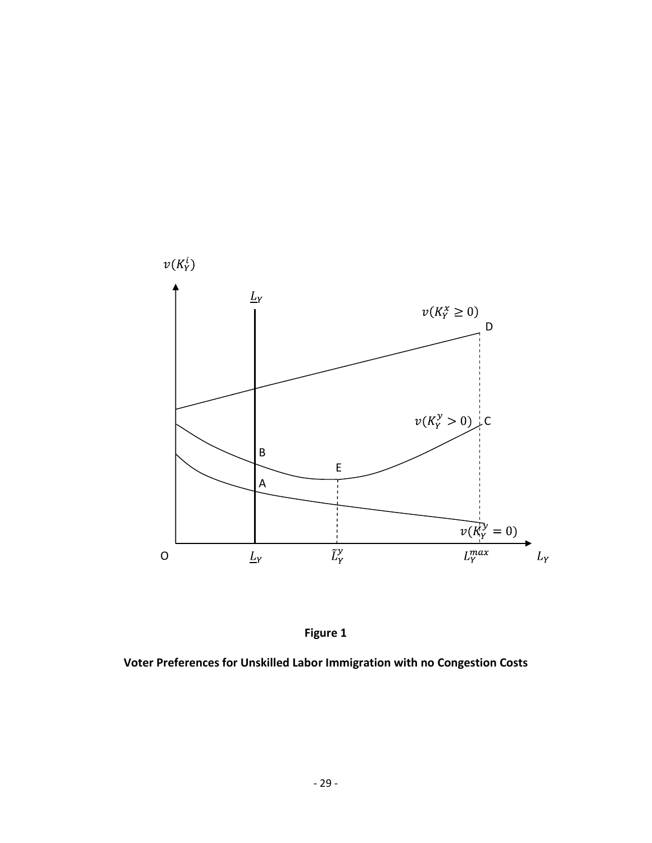



**Voter Preferences for Unskilled Labor Immigration with no Congestion Costs**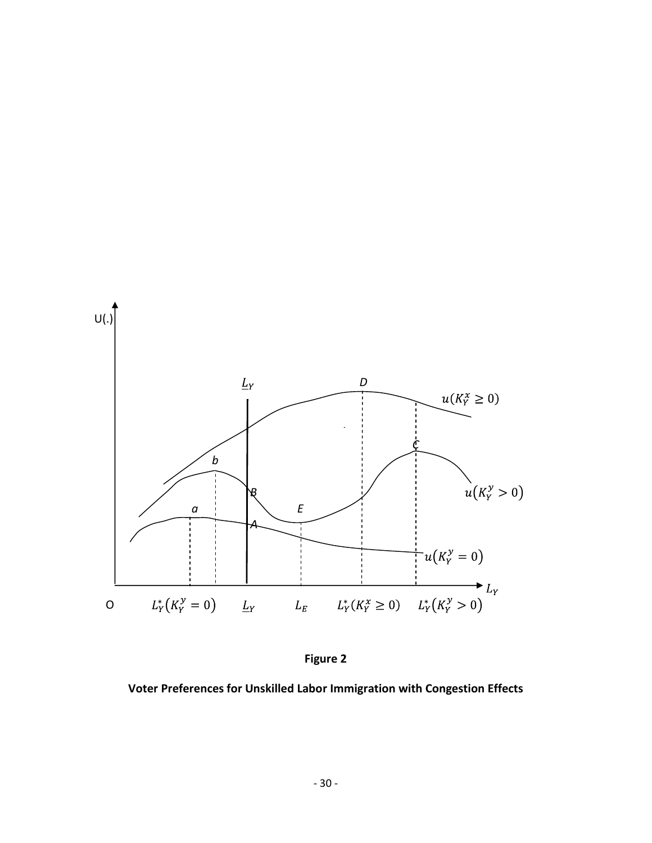



**Voter Preferences for Unskilled Labor Immigration with Congestion Effects**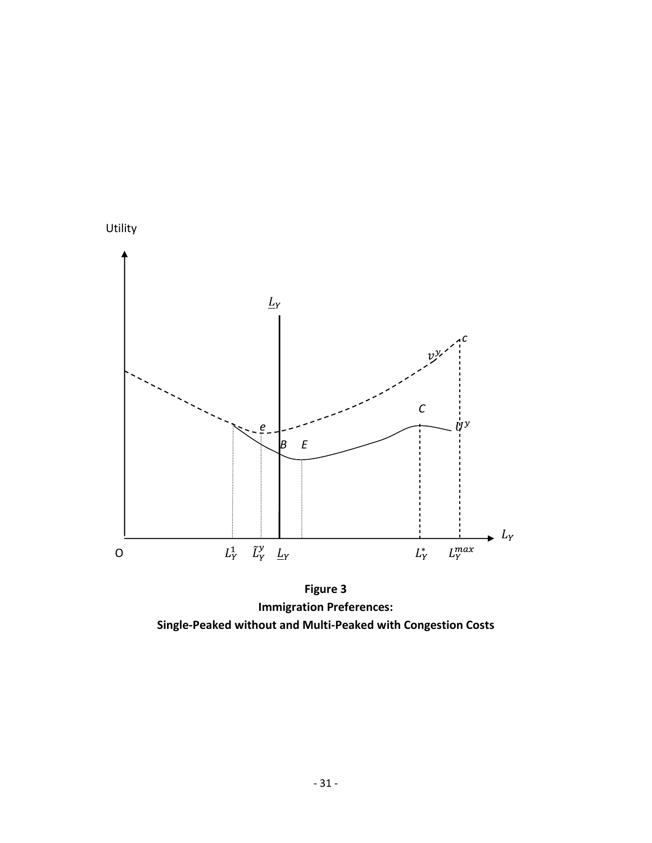

**Figure 3 Immigration Preferences: Single-Peaked without and Multi-Peaked with Congestion Costs**